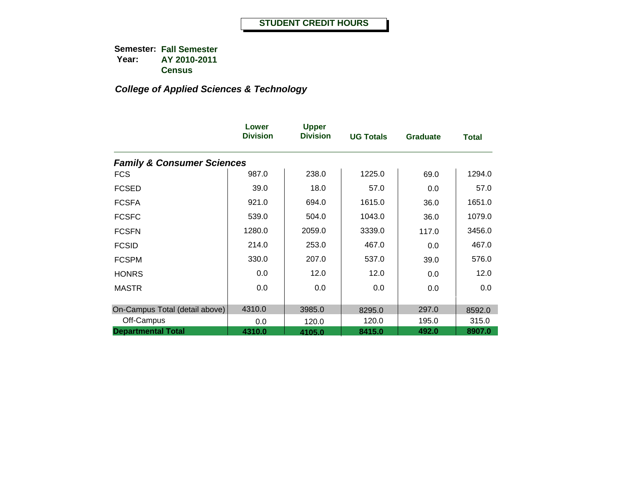|                                       | Lower<br><b>Division</b> | <b>Upper</b><br><b>Division</b> | <b>UG Totals</b> | <b>Graduate</b> | Total  |
|---------------------------------------|--------------------------|---------------------------------|------------------|-----------------|--------|
| <b>Family &amp; Consumer Sciences</b> |                          |                                 |                  |                 |        |
| <b>FCS</b>                            | 987.0                    | 238.0                           | 1225.0           | 69.0            | 1294.0 |
| <b>FCSED</b>                          | 39.0                     | 18.0                            | 57.0             | 0.0             | 57.0   |
| <b>FCSFA</b>                          | 921.0                    | 694.0                           | 1615.0           | 36.0            | 1651.0 |
| <b>FCSFC</b>                          | 539.0                    | 504.0                           | 1043.0           | 36.0            | 1079.0 |
| <b>FCSFN</b>                          | 1280.0                   | 2059.0                          | 3339.0           | 117.0           | 3456.0 |
| <b>FCSID</b>                          | 214.0                    | 253.0                           | 467.0            | 0.0             | 467.0  |
| <b>FCSPM</b>                          | 330.0                    | 207.0                           | 537.0            | 39.0            | 576.0  |
| <b>HONRS</b>                          | 0.0                      | 12.0                            | 12.0             | 0.0             | 12.0   |
| <b>MASTR</b>                          | 0.0                      | 0.0                             | 0.0              | 0.0             | 0.0    |
| On-Campus Total (detail above)        | 4310.0                   | 3985.0                          | 8295.0           | 297.0           | 8592.0 |
| Off-Campus                            | 0.0                      | 120.0                           | 120.0            | 195.0           | 315.0  |
| <b>Departmental Total</b>             | 4310.0                   | 4105.0                          | 8415.0           | 492.0           | 8907.0 |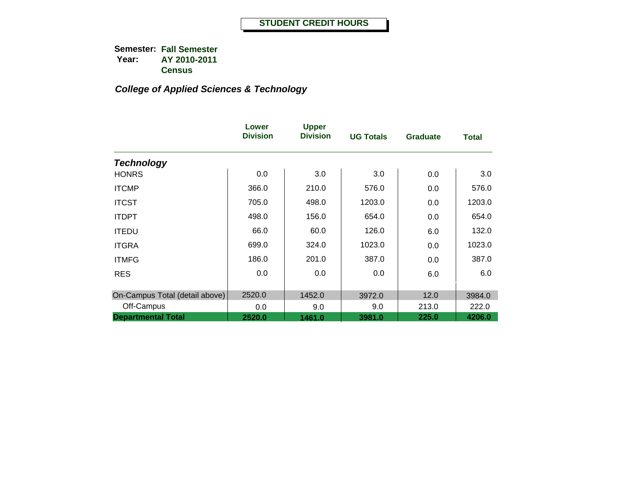|                                | Lower<br><b>Division</b> | <b>Upper</b><br><b>Division</b> | <b>UG Totals</b> | <b>Graduate</b> | Total  |
|--------------------------------|--------------------------|---------------------------------|------------------|-----------------|--------|
| <b>Technology</b>              |                          |                                 |                  |                 |        |
| <b>HONRS</b>                   | 0.0                      | 3.0                             | 3.0              | 0.0             | 3.0    |
| <b>ITCMP</b>                   | 366.0                    | 210.0                           | 576.0            | 0.0             | 576.0  |
| <b>ITCST</b>                   | 705.0                    | 498.0                           | 1203.0           | 0.0             | 1203.0 |
| <b>ITDPT</b>                   | 498.0                    | 156.0                           | 654.0            | 0.0             | 654.0  |
| <b>ITEDU</b>                   | 66.0                     | 60.0                            | 126.0            | 6.0             | 132.0  |
| <b>ITGRA</b>                   | 699.0                    | 324.0                           | 1023.0           | 0.0             | 1023.0 |
| <b>ITMFG</b>                   | 186.0                    | 201.0                           | 387.0            | 0.0             | 387.0  |
| <b>RES</b>                     | 0.0                      | 0.0                             | 0.0              | 6.0             | 6.0    |
| On-Campus Total (detail above) | 2520.0                   | 1452.0                          | 3972.0           | 12.0            | 3984.0 |
| Off-Campus                     | 0.0                      | 9.0                             | 9.0              | 213.0           | 222.0  |
| <b>Departmental Total</b>      | 2520.0                   | 1461.0                          | 3981.0           | 225.0           | 4206.0 |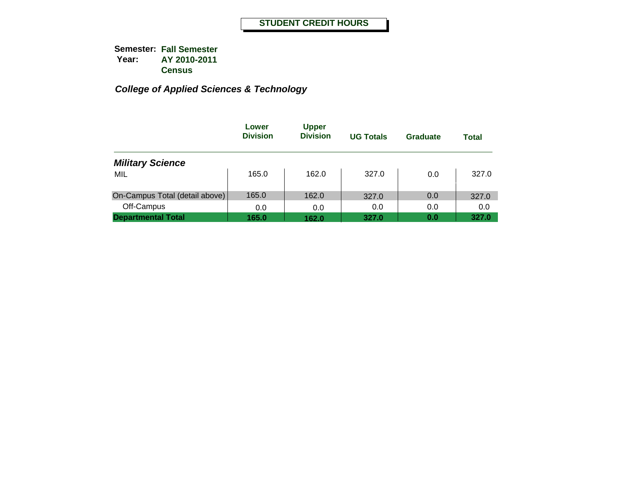|                                | Lower<br><b>Division</b> | <b>Upper</b><br><b>Division</b> | <b>UG Totals</b> | Graduate | Total |
|--------------------------------|--------------------------|---------------------------------|------------------|----------|-------|
| <b>Military Science</b>        |                          |                                 |                  |          |       |
| MIL                            | 165.0                    | 162.0                           | 327.0            | 0.0      | 327.0 |
| On-Campus Total (detail above) | 165.0                    | 162.0                           | 327.0            | 0.0      | 327.0 |
| Off-Campus                     | 0.0                      | 0.0                             | 0.0              | 0.0      | 0.0   |
| <b>Departmental Total</b>      | 165.0                    | 162.0                           | 327.0            | 0.0      | 327.0 |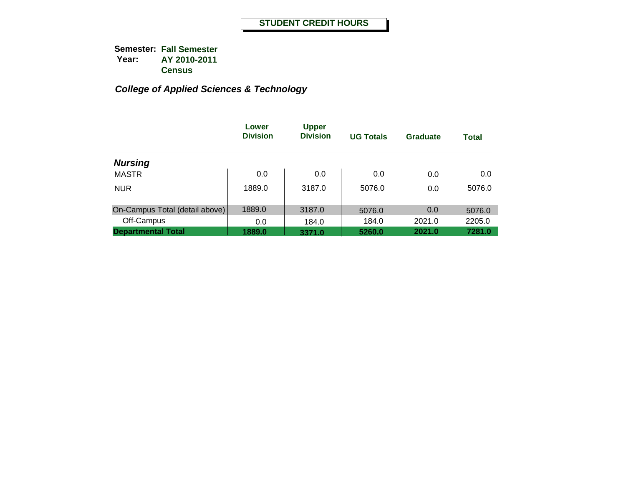|                                | Lower<br><b>Division</b> | <b>Upper</b><br><b>Division</b> | <b>UG Totals</b> | Graduate | <b>Total</b> |
|--------------------------------|--------------------------|---------------------------------|------------------|----------|--------------|
| <b>Nursing</b>                 |                          |                                 |                  |          |              |
| <b>MASTR</b>                   | 0.0                      | 0.0                             | 0.0              | 0.0      | 0.0          |
| <b>NUR</b>                     | 1889.0                   | 3187.0                          | 5076.0           | 0.0      | 5076.0       |
| On-Campus Total (detail above) | 1889.0                   | 3187.0                          | 5076.0           | 0.0      | 5076.0       |
| Off-Campus                     | 0.0                      | 184.0                           | 184.0            | 2021.0   | 2205.0       |
| <b>Departmental Total</b>      | 1889.0                   | 3371.0                          | 5260.0           | 2021.0   | 7281.0       |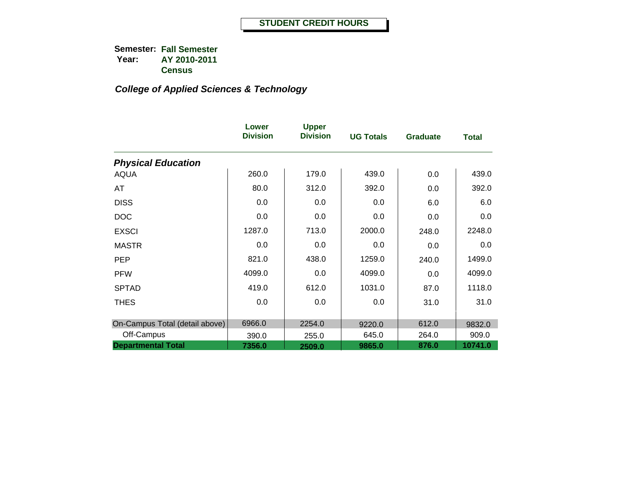|                                | Lower<br><b>Division</b> | <b>Upper</b><br><b>Division</b> | <b>UG Totals</b> | <b>Graduate</b> | <b>Total</b> |
|--------------------------------|--------------------------|---------------------------------|------------------|-----------------|--------------|
| <b>Physical Education</b>      |                          |                                 |                  |                 |              |
| <b>AQUA</b>                    | 260.0                    | 179.0                           | 439.0            | 0.0             | 439.0        |
| AT                             | 80.0                     | 312.0                           | 392.0            | 0.0             | 392.0        |
| <b>DISS</b>                    | 0.0                      | 0.0                             | 0.0              | 6.0             | 6.0          |
| <b>DOC</b>                     | 0.0                      | 0.0                             | 0.0              | 0.0             | 0.0          |
| <b>EXSCI</b>                   | 1287.0                   | 713.0                           | 2000.0           | 248.0           | 2248.0       |
| <b>MASTR</b>                   | 0.0                      | 0.0                             | 0.0              | 0.0             | 0.0          |
| <b>PEP</b>                     | 821.0                    | 438.0                           | 1259.0           | 240.0           | 1499.0       |
| <b>PFW</b>                     | 4099.0                   | 0.0                             | 4099.0           | 0.0             | 4099.0       |
| <b>SPTAD</b>                   | 419.0                    | 612.0                           | 1031.0           | 87.0            | 1118.0       |
| <b>THES</b>                    | 0.0                      | 0.0                             | 0.0              | 31.0            | 31.0         |
| On-Campus Total (detail above) | 6966.0                   | 2254.0                          | 9220.0           | 612.0           | 9832.0       |
| Off-Campus                     | 390.0                    | 255.0                           | 645.0            | 264.0           | 909.0        |
| <b>Departmental Total</b>      | 7356.0                   | 2509.0                          | 9865.0           | 876.0           | 10741.0      |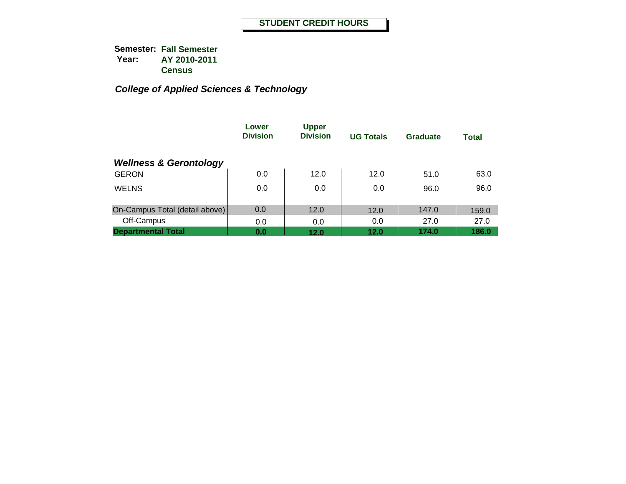|                                   | Lower<br><b>Division</b> | <b>Upper</b><br><b>Division</b> | <b>UG Totals</b> | Graduate | <b>Total</b> |
|-----------------------------------|--------------------------|---------------------------------|------------------|----------|--------------|
| <b>Wellness &amp; Gerontology</b> |                          |                                 |                  |          |              |
| <b>GERON</b>                      | 0.0                      | 12.0                            | 12.0             | 51.0     | 63.0         |
| <b>WELNS</b>                      | 0.0                      | 0.0                             | 0.0              | 96.0     | 96.0         |
| On-Campus Total (detail above)    | 0.0                      | 12.0                            | 12.0             | 147.0    | 159.0        |
| Off-Campus                        | 0.0                      | 0.0                             | 0.0              | 27.0     | 27.0         |
| <b>Departmental Total</b>         | 0.0                      | 12.0                            | 12.0             | 174.0    | 186.0        |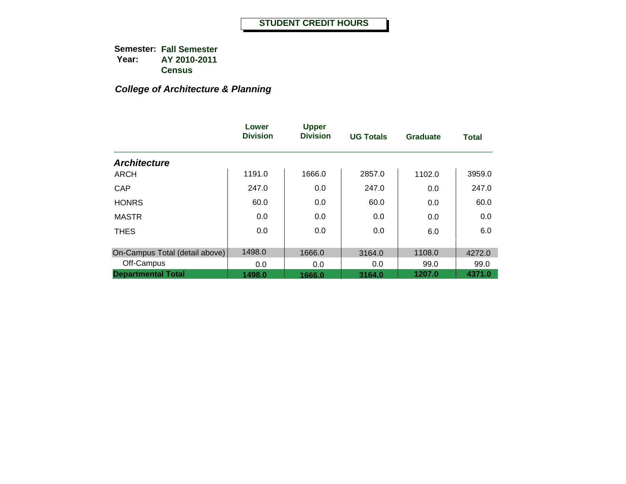## *College of Architecture & Planning*

|                                | Lower<br><b>Division</b> | <b>Upper</b><br><b>Division</b> | <b>UG Totals</b> | <b>Graduate</b> | <b>Total</b> |
|--------------------------------|--------------------------|---------------------------------|------------------|-----------------|--------------|
| <b>Architecture</b>            |                          |                                 |                  |                 |              |
| <b>ARCH</b>                    | 1191.0                   | 1666.0                          | 2857.0           | 1102.0          | 3959.0       |
| CAP                            | 247.0                    | 0.0                             | 247.0            | 0.0             | 247.0        |
| <b>HONRS</b>                   | 60.0                     | 0.0                             | 60.0             | 0.0             | 60.0         |
| <b>MASTR</b>                   | 0.0                      | 0.0                             | 0.0              | 0.0             | 0.0          |
| <b>THES</b>                    | 0.0                      | 0.0                             | 0.0              | 6.0             | 6.0          |
|                                |                          |                                 |                  |                 |              |
| On-Campus Total (detail above) | 1498.0                   | 1666.0                          | 3164.0           | 1108.0          | 4272.0       |
| Off-Campus                     | 0.0                      | 0.0                             | 0.0              | 99.0            | 99.0         |
| <b>Departmental Total</b>      | 1498.0                   | 1666.0                          | 3164.0           | 1207.0          | 4371.0       |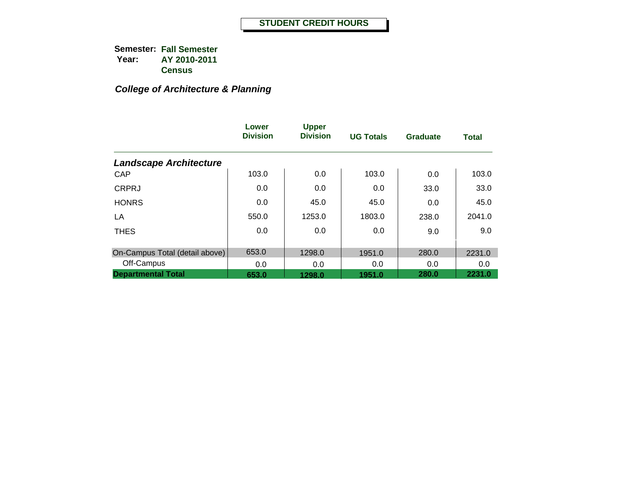## *College of Architecture & Planning*

|                                | Lower<br><b>Division</b> | <b>Upper</b><br><b>Division</b> | <b>UG Totals</b> | <b>Graduate</b> | <b>Total</b> |
|--------------------------------|--------------------------|---------------------------------|------------------|-----------------|--------------|
| <b>Landscape Architecture</b>  |                          |                                 |                  |                 |              |
| CAP                            | 103.0                    | 0.0                             | 103.0            | 0.0             | 103.0        |
| <b>CRPRJ</b>                   | 0.0                      | 0.0                             | 0.0              | 33.0            | 33.0         |
| <b>HONRS</b>                   | 0.0                      | 45.0                            | 45.0             | 0.0             | 45.0         |
| LA                             | 550.0                    | 1253.0                          | 1803.0           | 238.0           | 2041.0       |
| <b>THES</b>                    | 0.0                      | 0.0                             | 0.0              | 9.0             | 9.0          |
| On-Campus Total (detail above) | 653.0                    | 1298.0                          | 1951.0           | 280.0           | 2231.0       |
| Off-Campus                     | 0.0                      | 0.0                             | 0.0              | 0.0             | 0.0          |
| <b>Departmental Total</b>      | 653.0                    | 1298.0                          | 1951.0           | 280.0           | 2231.0       |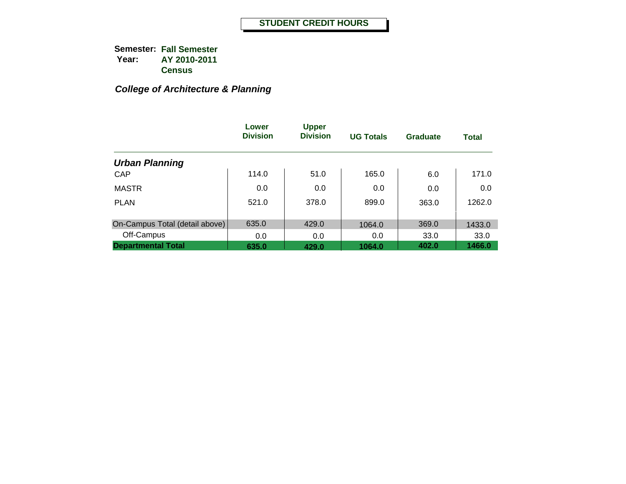## *College of Architecture & Planning*

|                                | Lower<br><b>Division</b> | <b>Upper</b><br><b>Division</b> | <b>UG Totals</b> | Graduate | <b>Total</b> |
|--------------------------------|--------------------------|---------------------------------|------------------|----------|--------------|
| <b>Urban Planning</b>          |                          |                                 |                  |          |              |
| <b>CAP</b>                     | 114.0                    | 51.0                            | 165.0            | 6.0      | 171.0        |
| <b>MASTR</b>                   | 0.0                      | 0.0                             | 0.0              | 0.0      | 0.0          |
| <b>PLAN</b>                    | 521.0                    | 378.0                           | 899.0            | 363.0    | 1262.0       |
| On-Campus Total (detail above) | 635.0                    | 429.0                           | 1064.0           | 369.0    | 1433.0       |
| Off-Campus                     | 0.0                      | 0.0                             | 0.0              | 33.0     | 33.0         |
| <b>Departmental Total</b>      | 635.0                    | 429.0                           | 1064.0           | 402.0    | 1466.0       |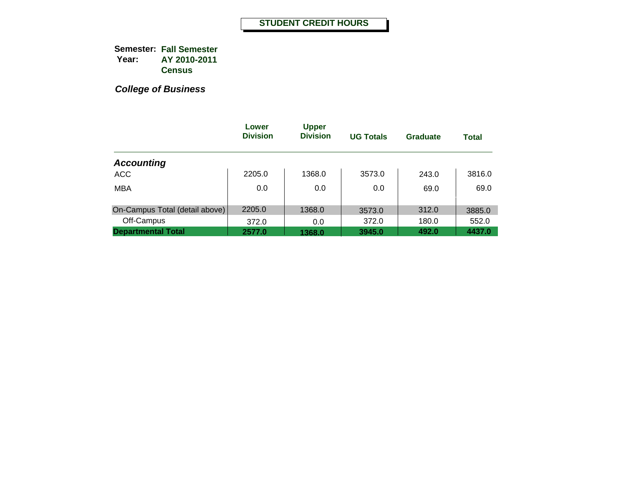|                                | Lower<br><b>Division</b> | <b>Upper</b><br><b>Division</b> | <b>UG Totals</b> | Graduate | <b>Total</b> |
|--------------------------------|--------------------------|---------------------------------|------------------|----------|--------------|
| <b>Accounting</b>              |                          |                                 |                  |          |              |
| <b>ACC</b>                     | 2205.0                   | 1368.0                          | 3573.0           | 243.0    | 3816.0       |
| <b>MBA</b>                     | 0.0                      | 0.0                             | 0.0              | 69.0     | 69.0         |
| On-Campus Total (detail above) | 2205.0                   | 1368.0                          | 3573.0           | 312.0    | 3885.0       |
| Off-Campus                     | 372.0                    | 0.0                             | 372.0            | 180.0    | 552.0        |
| <b>Departmental Total</b>      | 2577.0                   | 1368.0                          | 3945.0           | 492.0    | 4437.0       |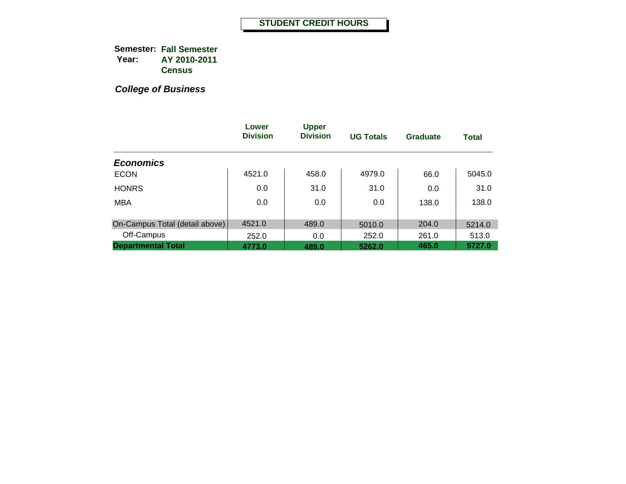|                                | Lower<br><b>Division</b> | <b>Upper</b><br><b>Division</b> | <b>UG Totals</b> | <b>Graduate</b> | <b>Total</b> |
|--------------------------------|--------------------------|---------------------------------|------------------|-----------------|--------------|
| <b>Economics</b>               |                          |                                 |                  |                 |              |
| <b>ECON</b>                    | 4521.0                   | 458.0                           | 4979.0           | 66.0            | 5045.0       |
| <b>HONRS</b>                   | 0.0                      | 31.0                            | 31.0             | 0.0             | 31.0         |
| <b>MBA</b>                     | 0.0                      | 0.0                             | 0.0              | 138.0           | 138.0        |
| On-Campus Total (detail above) | 4521.0                   | 489.0                           | 5010.0           | 204.0           | 5214.0       |
| Off-Campus                     | 252.0                    | 0.0                             | 252.0            | 261.0           | 513.0        |
| <b>Departmental Total</b>      | 4773.0                   | 489.0                           | 5262.0           | 465.0           | 5727.0       |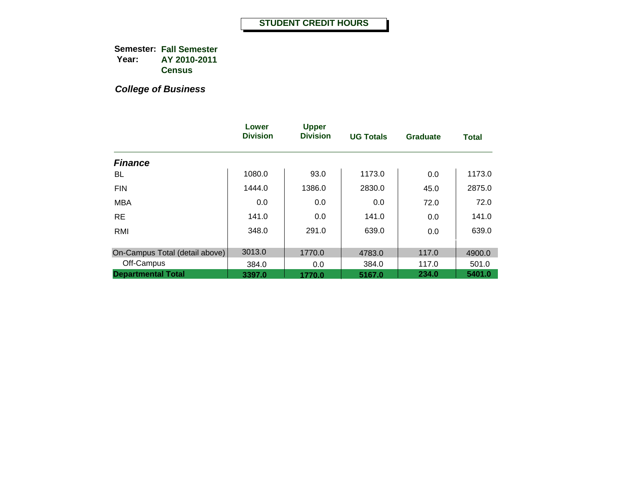|                                | Lower<br><b>Division</b> | <b>Upper</b><br><b>Division</b> | <b>UG Totals</b> | <b>Graduate</b> | <b>Total</b> |
|--------------------------------|--------------------------|---------------------------------|------------------|-----------------|--------------|
| <b>Finance</b>                 |                          |                                 |                  |                 |              |
| BL                             | 1080.0                   | 93.0                            | 1173.0           | 0.0             | 1173.0       |
| <b>FIN</b>                     | 1444.0                   | 1386.0                          | 2830.0           | 45.0            | 2875.0       |
| <b>MBA</b>                     | 0.0                      | 0.0                             | 0.0              | 72.0            | 72.0         |
| <b>RE</b>                      | 141.0                    | 0.0                             | 141.0            | 0.0             | 141.0        |
| RMI                            | 348.0                    | 291.0                           | 639.0            | 0.0             | 639.0        |
|                                |                          |                                 |                  |                 |              |
| On-Campus Total (detail above) | 3013.0                   | 1770.0                          | 4783.0           | 117.0           | 4900.0       |
| Off-Campus                     | 384.0                    | 0.0                             | 384.0            | 117.0           | 501.0        |
| <b>Departmental Total</b>      | 3397.0                   | 1770.0                          | 5167.0           | 234.0           | 5401.0       |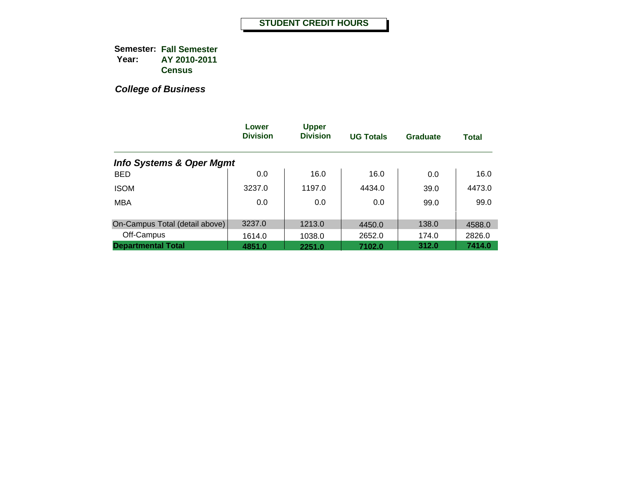|                                     | Lower<br><b>Division</b> | <b>Upper</b><br><b>Division</b> | <b>UG Totals</b> | <b>Graduate</b> | <b>Total</b> |
|-------------------------------------|--------------------------|---------------------------------|------------------|-----------------|--------------|
| <b>Info Systems &amp; Oper Mgmt</b> |                          |                                 |                  |                 |              |
| <b>BED</b>                          | 0.0                      | 16.0                            | 16.0             | 0.0             | 16.0         |
| <b>ISOM</b>                         | 3237.0                   | 1197.0                          | 4434.0           | 39.0            | 4473.0       |
| <b>MBA</b>                          | 0.0                      | 0.0                             | 0.0              | 99.0            | 99.0         |
|                                     |                          |                                 |                  |                 |              |
| On-Campus Total (detail above)      | 3237.0                   | 1213.0                          | 4450.0           | 138.0           | 4588.0       |
| Off-Campus                          | 1614.0                   | 1038.0                          | 2652.0           | 174.0           | 2826.0       |
| <b>Departmental Total</b>           | 4851.0                   | 2251.0                          | 7102.0           | 312.0           | 7414.0       |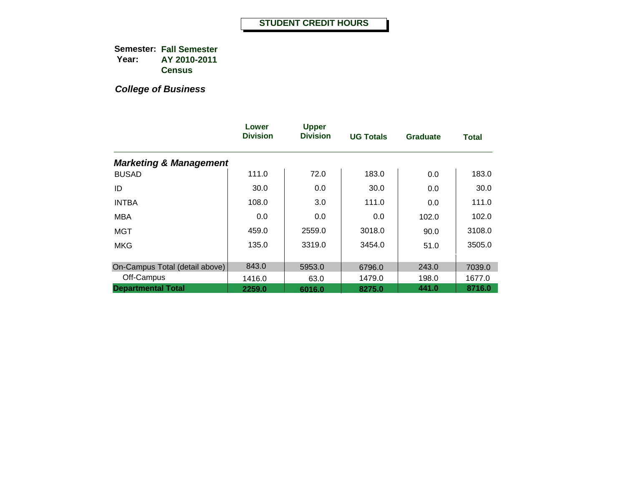|                                   | Lower<br><b>Division</b> | <b>Upper</b><br><b>Division</b> | <b>UG Totals</b> | <b>Graduate</b> | <b>Total</b> |
|-----------------------------------|--------------------------|---------------------------------|------------------|-----------------|--------------|
| <b>Marketing &amp; Management</b> |                          |                                 |                  |                 |              |
| <b>BUSAD</b>                      | 111.0                    | 72.0                            | 183.0            | 0.0             | 183.0        |
| ID                                | 30.0                     | 0.0                             | 30.0             | 0.0             | 30.0         |
| <b>INTBA</b>                      | 108.0                    | 3.0                             | 111.0            | 0.0             | 111.0        |
| <b>MBA</b>                        | 0.0                      | 0.0                             | 0.0              | 102.0           | 102.0        |
| <b>MGT</b>                        | 459.0                    | 2559.0                          | 3018.0           | 90.0            | 3108.0       |
| <b>MKG</b>                        | 135.0                    | 3319.0                          | 3454.0           | 51.0            | 3505.0       |
| On-Campus Total (detail above)    | 843.0                    | 5953.0                          | 6796.0           | 243.0           | 7039.0       |
| Off-Campus                        | 1416.0                   | 63.0                            | 1479.0           | 198.0           | 1677.0       |
| <b>Departmental Total</b>         | 2259.0                   | 6016.0                          | 8275.0           | 441.0           | 8716.0       |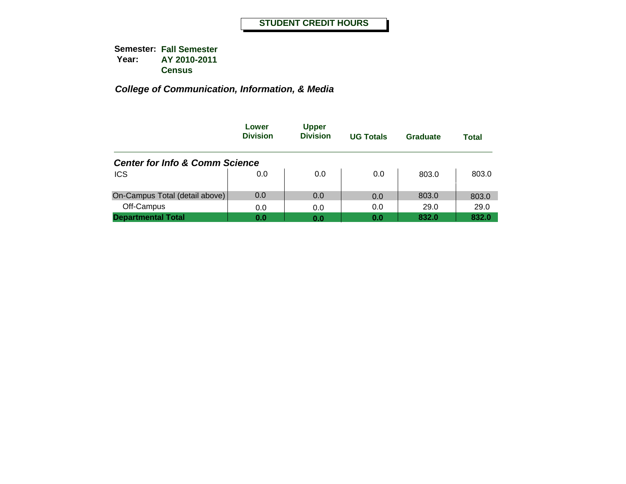|                                           | Lower<br><b>Division</b> | <b>Upper</b><br><b>Division</b> | <b>UG Totals</b> | Graduate | Total |
|-------------------------------------------|--------------------------|---------------------------------|------------------|----------|-------|
| <b>Center for Info &amp; Comm Science</b> |                          |                                 |                  |          |       |
| <b>ICS</b>                                | 0.0                      | 0.0                             | 0.0              | 803.0    | 803.0 |
| On-Campus Total (detail above)            | 0.0                      | 0.0                             | 0.0              | 803.0    | 803.0 |
| Off-Campus                                | 0.0                      | 0.0                             | 0.0              | 29.0     | 29.0  |
| <b>Departmental Total</b>                 | 0.0                      | 0.0                             | 0.0              | 832.0    | 832.0 |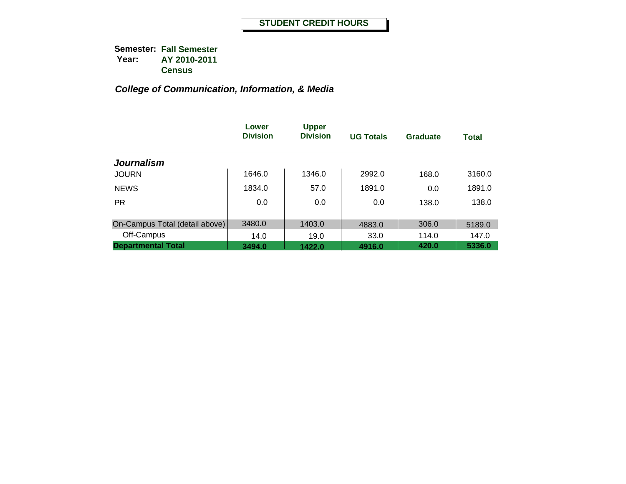|                                | Lower<br><b>Division</b> | <b>Upper</b><br><b>Division</b> | <b>UG Totals</b> | Graduate | <b>Total</b> |
|--------------------------------|--------------------------|---------------------------------|------------------|----------|--------------|
| <b>Journalism</b>              |                          |                                 |                  |          |              |
| <b>JOURN</b>                   | 1646.0                   | 1346.0                          | 2992.0           | 168.0    | 3160.0       |
| <b>NEWS</b>                    | 1834.0                   | 57.0                            | 1891.0           | 0.0      | 1891.0       |
| <b>PR</b>                      | 0.0                      | 0.0                             | 0.0              | 138.0    | 138.0        |
| On-Campus Total (detail above) | 3480.0                   | 1403.0                          | 4883.0           | 306.0    | 5189.0       |
| Off-Campus                     | 14.0                     | 19.0                            | 33.0             | 114.0    | 147.0        |
| <b>Departmental Total</b>      | 3494.0                   | 1422.0                          | 4916.0           | 420.0    | 5336.0       |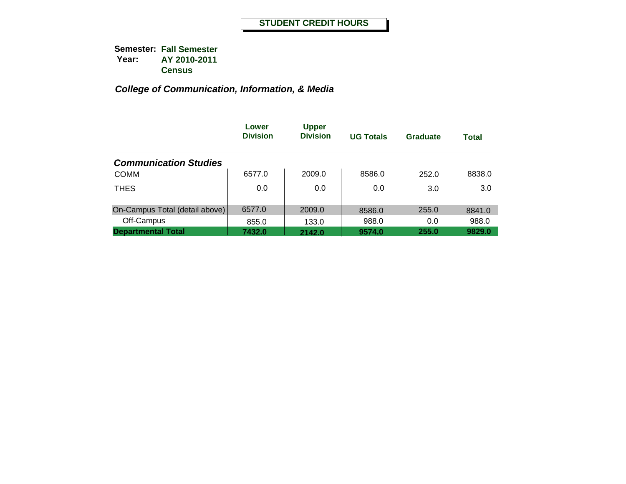|                                | Lower<br><b>Division</b> | <b>Upper</b><br><b>Division</b> | <b>UG Totals</b> | Graduate | <b>Total</b> |
|--------------------------------|--------------------------|---------------------------------|------------------|----------|--------------|
| <b>Communication Studies</b>   |                          |                                 |                  |          |              |
| <b>COMM</b>                    | 6577.0                   | 2009.0                          | 8586.0           | 252.0    | 8838.0       |
| <b>THES</b>                    | 0.0                      | 0.0                             | 0.0              | 3.0      | 3.0          |
| On-Campus Total (detail above) | 6577.0                   | 2009.0                          | 8586.0           | 255.0    | 8841.0       |
| Off-Campus                     | 855.0                    | 133.0                           | 988.0            | 0.0      | 988.0        |
| <b>Departmental Total</b>      | 7432.0                   | 2142.0                          | 9574.0           | 255.0    | 9829.0       |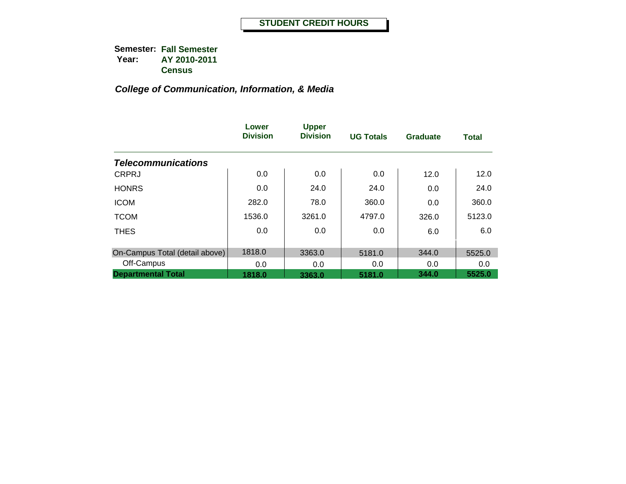|                                | Lower<br><b>Division</b> | <b>Upper</b><br><b>Division</b> | <b>UG Totals</b> | <b>Graduate</b> | <b>Total</b> |
|--------------------------------|--------------------------|---------------------------------|------------------|-----------------|--------------|
| <b>Telecommunications</b>      |                          |                                 |                  |                 |              |
| <b>CRPRJ</b>                   | 0.0                      | 0.0                             | 0.0              | 12.0            | 12.0         |
| <b>HONRS</b>                   | 0.0                      | 24.0                            | 24.0             | 0.0             | 24.0         |
| <b>ICOM</b>                    | 282.0                    | 78.0                            | 360.0            | 0.0             | 360.0        |
| <b>TCOM</b>                    | 1536.0                   | 3261.0                          | 4797.0           | 326.0           | 5123.0       |
| <b>THES</b>                    | 0.0                      | 0.0                             | 0.0              | 6.0             | 6.0          |
| On-Campus Total (detail above) | 1818.0                   | 3363.0                          | 5181.0           | 344.0           | 5525.0       |
| Off-Campus                     | 0.0                      | 0.0                             | 0.0              | 0.0             | 0.0          |
| <b>Departmental Total</b>      | 1818.0                   | 3363.0                          | 5181.0           | 344.0           | 5525.0       |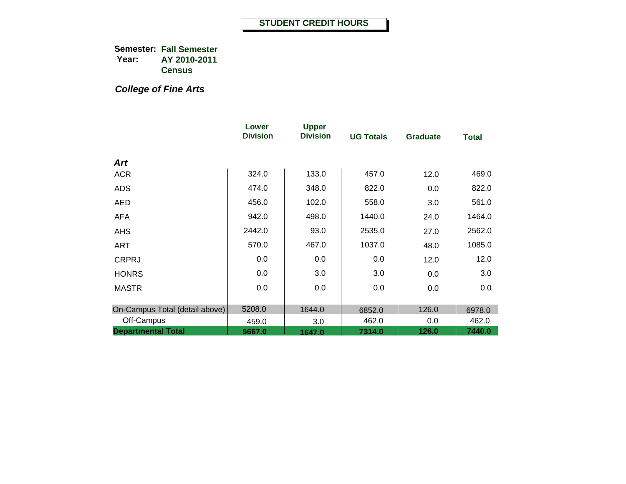*College of Fine Arts*

|                                | Lower<br><b>Division</b> | <b>Upper</b><br><b>Division</b> | <b>UG Totals</b> | <b>Graduate</b> | <b>Total</b> |
|--------------------------------|--------------------------|---------------------------------|------------------|-----------------|--------------|
| <b>Art</b>                     |                          |                                 |                  |                 |              |
| <b>ACR</b>                     | 324.0                    | 133.0                           | 457.0            | 12.0            | 469.0        |
| <b>ADS</b>                     | 474.0                    | 348.0                           | 822.0            | 0.0             | 822.0        |
| <b>AED</b>                     | 456.0                    | 102.0                           | 558.0            | 3.0             | 561.0        |
| <b>AFA</b>                     | 942.0                    | 498.0                           | 1440.0           | 24.0            | 1464.0       |
| <b>AHS</b>                     | 2442.0                   | 93.0                            | 2535.0           | 27.0            | 2562.0       |
| ART                            | 570.0                    | 467.0                           | 1037.0           | 48.0            | 1085.0       |
| <b>CRPRJ</b>                   | 0.0                      | 0.0                             | 0.0              | 12.0            | 12.0         |
| <b>HONRS</b>                   | 0.0                      | 3.0                             | 3.0              | 0.0             | 3.0          |
| <b>MASTR</b>                   | 0.0                      | 0.0                             | 0.0              | 0.0             | 0.0          |
|                                |                          |                                 |                  |                 |              |
| On-Campus Total (detail above) | 5208.0                   | 1644.0                          | 6852.0           | 126.0           | 6978.0       |
| Off-Campus                     | 459.0                    | 3.0                             | 462.0            | 0.0             | 462.0        |
| <b>Departmental Total</b>      | 5667.0                   | 1647.0                          | 7314.0           | 126.0           | 7440.0       |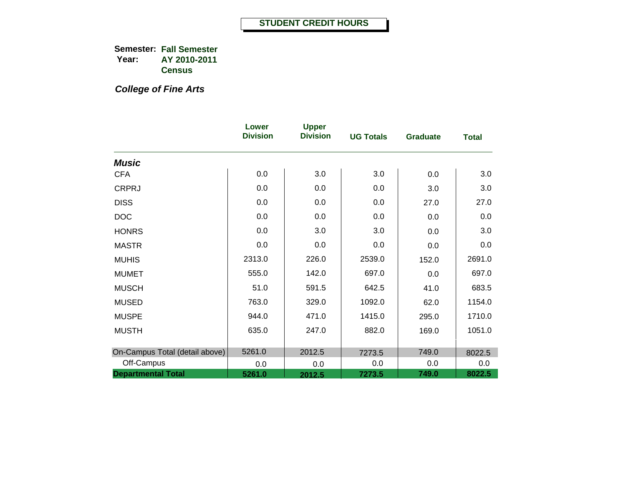*College of Fine Arts*

|                                | Lower<br><b>Division</b> | <b>Upper</b><br><b>Division</b> | <b>UG Totals</b> | <b>Graduate</b> | <b>Total</b> |
|--------------------------------|--------------------------|---------------------------------|------------------|-----------------|--------------|
| <b>Music</b>                   |                          |                                 |                  |                 |              |
| <b>CFA</b>                     | 0.0                      | 3.0                             | 3.0              | 0.0             | 3.0          |
| <b>CRPRJ</b>                   | 0.0                      | 0.0                             | 0.0              | 3.0             | 3.0          |
| <b>DISS</b>                    | 0.0                      | 0.0                             | 0.0              | 27.0            | 27.0         |
| <b>DOC</b>                     | 0.0                      | 0.0                             | 0.0              | 0.0             | 0.0          |
| <b>HONRS</b>                   | 0.0                      | 3.0                             | 3.0              | 0.0             | 3.0          |
| <b>MASTR</b>                   | 0.0                      | 0.0                             | 0.0              | 0.0             | 0.0          |
| <b>MUHIS</b>                   | 2313.0                   | 226.0                           | 2539.0           | 152.0           | 2691.0       |
| <b>MUMET</b>                   | 555.0                    | 142.0                           | 697.0            | 0.0             | 697.0        |
| <b>MUSCH</b>                   | 51.0                     | 591.5                           | 642.5            | 41.0            | 683.5        |
| <b>MUSED</b>                   | 763.0                    | 329.0                           | 1092.0           | 62.0            | 1154.0       |
| <b>MUSPE</b>                   | 944.0                    | 471.0                           | 1415.0           | 295.0           | 1710.0       |
| <b>MUSTH</b>                   | 635.0                    | 247.0                           | 882.0            | 169.0           | 1051.0       |
|                                |                          |                                 |                  |                 |              |
| On-Campus Total (detail above) | 5261.0                   | 2012.5                          | 7273.5           | 749.0           | 8022.5       |
| Off-Campus                     | 0.0                      | 0.0                             | 0.0              | 0.0             | 0.0          |
| <b>Departmental Total</b>      | 5261.0                   | 2012.5                          | 7273.5           | 749.0           | 8022.5       |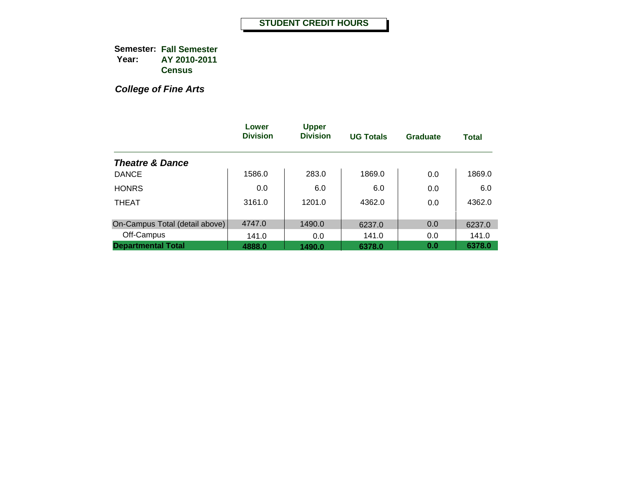*College of Fine Arts*

|                                | Lower<br><b>Division</b> | <b>Upper</b><br><b>Division</b> | <b>UG Totals</b> | Graduate | <b>Total</b> |
|--------------------------------|--------------------------|---------------------------------|------------------|----------|--------------|
| <b>Theatre &amp; Dance</b>     |                          |                                 |                  |          |              |
| <b>DANCE</b>                   | 1586.0                   | 283.0                           | 1869.0           | 0.0      | 1869.0       |
| <b>HONRS</b>                   | 0.0                      | 6.0                             | 6.0              | 0.0      | 6.0          |
| <b>THEAT</b>                   | 3161.0                   | 1201.0                          | 4362.0           | 0.0      | 4362.0       |
| On-Campus Total (detail above) | 4747.0                   | 1490.0                          | 6237.0           | 0.0      | 6237.0       |
| Off-Campus                     | 141.0                    | 0.0                             | 141.0            | 0.0      | 141.0        |
| <b>Departmental Total</b>      | 4888.0                   | 1490.0                          | 6378.0           | 0.0      | 6378.0       |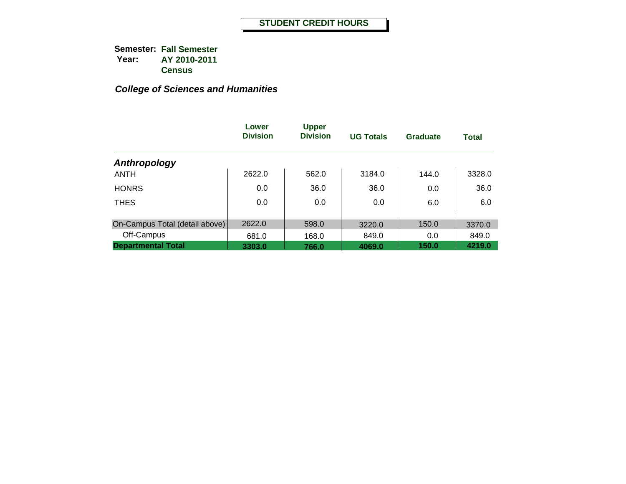|                                | Lower<br><b>Division</b> | <b>Upper</b><br><b>Division</b> | <b>UG Totals</b> | Graduate | <b>Total</b> |
|--------------------------------|--------------------------|---------------------------------|------------------|----------|--------------|
| Anthropology                   |                          |                                 |                  |          |              |
| <b>ANTH</b>                    | 2622.0                   | 562.0                           | 3184.0           | 144.0    | 3328.0       |
| <b>HONRS</b>                   | 0.0                      | 36.0                            | 36.0             | 0.0      | 36.0         |
| <b>THES</b>                    | 0.0                      | 0.0                             | 0.0              | 6.0      | 6.0          |
|                                |                          |                                 |                  |          |              |
| On-Campus Total (detail above) | 2622.0                   | 598.0                           | 3220.0           | 150.0    | 3370.0       |
| Off-Campus                     | 681.0                    | 168.0                           | 849.0            | 0.0      | 849.0        |
| <b>Departmental Total</b>      | 3303.0                   | 766.0                           | 4069.0           | 150.0    | 4219.0       |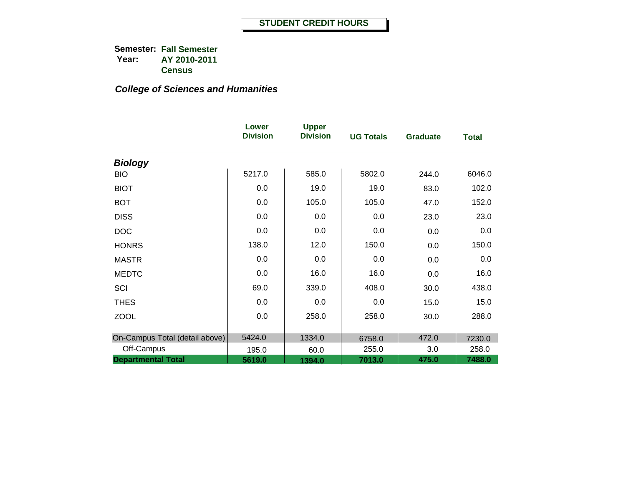|                                | Lower<br><b>Division</b> | <b>Upper</b><br><b>Division</b> | <b>UG Totals</b> | <b>Graduate</b> | <b>Total</b> |
|--------------------------------|--------------------------|---------------------------------|------------------|-----------------|--------------|
| <b>Biology</b>                 |                          |                                 |                  |                 |              |
| <b>BIO</b>                     | 5217.0                   | 585.0                           | 5802.0           | 244.0           | 6046.0       |
| <b>BIOT</b>                    | 0.0                      | 19.0                            | 19.0             | 83.0            | 102.0        |
| <b>BOT</b>                     | 0.0                      | 105.0                           | 105.0            | 47.0            | 152.0        |
| <b>DISS</b>                    | 0.0                      | 0.0                             | 0.0              | 23.0            | 23.0         |
| <b>DOC</b>                     | 0.0                      | 0.0                             | 0.0              | 0.0             | 0.0          |
| <b>HONRS</b>                   | 138.0                    | 12.0                            | 150.0            | 0.0             | 150.0        |
| <b>MASTR</b>                   | 0.0                      | 0.0                             | 0.0              | 0.0             | 0.0          |
| <b>MEDTC</b>                   | 0.0                      | 16.0                            | 16.0             | 0.0             | 16.0         |
| SCI                            | 69.0                     | 339.0                           | 408.0            | 30.0            | 438.0        |
| <b>THES</b>                    | 0.0                      | 0.0                             | 0.0              | 15.0            | 15.0         |
| <b>ZOOL</b>                    | 0.0                      | 258.0                           | 258.0            | 30.0            | 288.0        |
|                                |                          |                                 |                  |                 |              |
| On-Campus Total (detail above) | 5424.0                   | 1334.0                          | 6758.0           | 472.0           | 7230.0       |
| Off-Campus                     | 195.0                    | 60.0                            | 255.0            | 3.0             | 258.0        |
| <b>Departmental Total</b>      | 5619.0                   | 1394.0                          | 7013.0           | 475.0           | 7488.0       |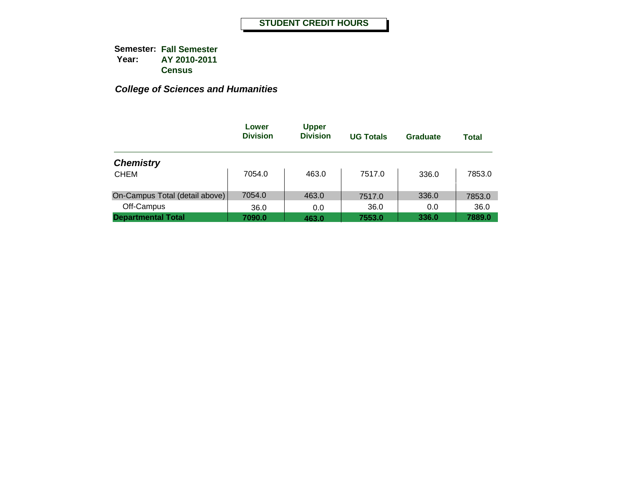|                                | Lower<br><b>Division</b> | <b>Upper</b><br><b>Division</b> | <b>UG Totals</b> | Graduate | <b>Total</b> |
|--------------------------------|--------------------------|---------------------------------|------------------|----------|--------------|
| <b>Chemistry</b>               |                          |                                 |                  |          |              |
| <b>CHEM</b>                    | 7054.0                   | 463.0                           | 7517.0           | 336.0    | 7853.0       |
| On-Campus Total (detail above) | 7054.0                   | 463.0                           | 7517.0           | 336.0    | 7853.0       |
| Off-Campus                     | 36.0                     | 0.0                             | 36.0             | 0.0      | 36.0         |
| <b>Departmental Total</b>      | 7090.0                   | 463.0                           | 7553.0           | 336.0    | 7889.0       |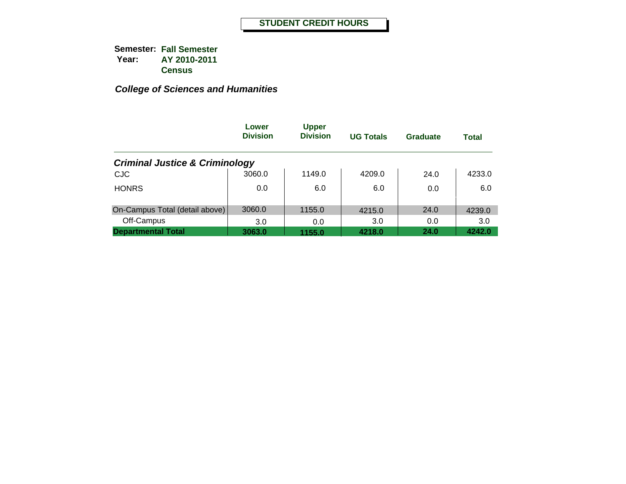|                                           | Lower<br><b>Division</b> | <b>Upper</b><br><b>Division</b> | <b>UG Totals</b> | <b>Graduate</b> | <b>Total</b> |
|-------------------------------------------|--------------------------|---------------------------------|------------------|-----------------|--------------|
| <b>Criminal Justice &amp; Criminology</b> |                          |                                 |                  |                 |              |
| <b>CJC</b>                                | 3060.0                   | 1149.0                          | 4209.0           | 24.0            | 4233.0       |
| <b>HONRS</b>                              | 0.0                      | 6.0                             | 6.0              | 0.0             | 6.0          |
| On-Campus Total (detail above)            | 3060.0                   | 1155.0                          | 4215.0           | 24.0            | 4239.0       |
| Off-Campus                                | 3.0                      | 0.0                             | 3.0              | 0.0             | 3.0          |
| <b>Departmental Total</b>                 | 3063.0                   | 1155.0                          | 4218.0           | 24.0            | 4242.0       |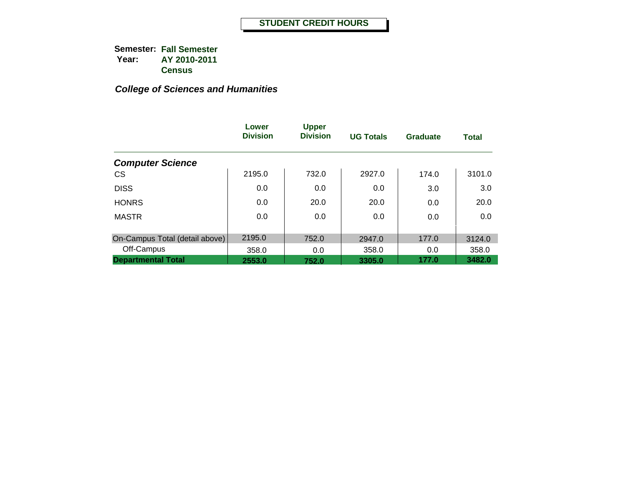|                                | Lower<br><b>Division</b> | <b>Upper</b><br><b>Division</b> | <b>UG Totals</b> | Graduate | <b>Total</b> |
|--------------------------------|--------------------------|---------------------------------|------------------|----------|--------------|
| <b>Computer Science</b>        |                          |                                 |                  |          |              |
| <b>CS</b>                      | 2195.0                   | 732.0                           | 2927.0           | 174.0    | 3101.0       |
| <b>DISS</b>                    | 0.0                      | 0.0                             | 0.0              | 3.0      | 3.0          |
| <b>HONRS</b>                   | 0.0                      | 20.0                            | 20.0             | 0.0      | 20.0         |
| <b>MASTR</b>                   | 0.0                      | 0.0                             | 0.0              | 0.0      | 0.0          |
| On-Campus Total (detail above) | 2195.0                   | 752.0                           | 2947.0           | 177.0    | 3124.0       |
| Off-Campus                     | 358.0                    | 0.0                             | 358.0            | 0.0      | 358.0        |
| <b>Departmental Total</b>      | 2553.0                   | 752.0                           | 3305.0           | 177.0    | 3482.0       |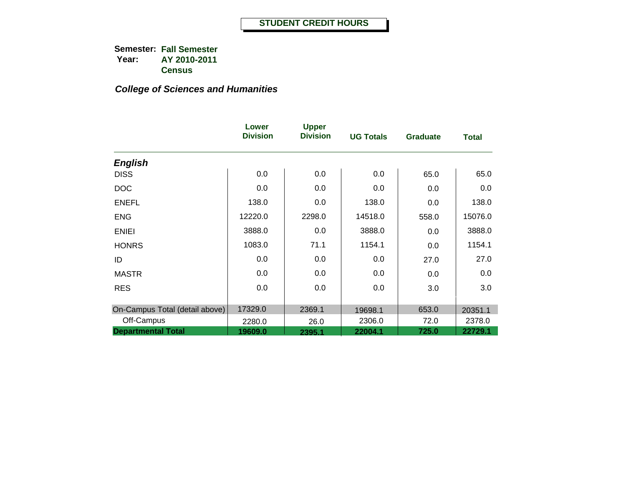|                                | Lower<br><b>Division</b> | <b>Upper</b><br><b>Division</b> | <b>UG Totals</b> | <b>Graduate</b> | <b>Total</b> |
|--------------------------------|--------------------------|---------------------------------|------------------|-----------------|--------------|
| <b>English</b>                 |                          |                                 |                  |                 |              |
| <b>DISS</b>                    | 0.0                      | 0.0                             | 0.0              | 65.0            | 65.0         |
| <b>DOC</b>                     | 0.0                      | 0.0                             | 0.0              | 0.0             | 0.0          |
| <b>ENEFL</b>                   | 138.0                    | 0.0                             | 138.0            | 0.0             | 138.0        |
| <b>ENG</b>                     | 12220.0                  | 2298.0                          | 14518.0          | 558.0           | 15076.0      |
| <b>ENIEI</b>                   | 3888.0                   | 0.0                             | 3888.0           | 0.0             | 3888.0       |
| <b>HONRS</b>                   | 1083.0                   | 71.1                            | 1154.1           | 0.0             | 1154.1       |
| ID                             | 0.0                      | 0.0                             | 0.0              | 27.0            | 27.0         |
| <b>MASTR</b>                   | 0.0                      | 0.0                             | 0.0              | 0.0             | 0.0          |
| <b>RES</b>                     | 0.0                      | 0.0                             | 0.0              | 3.0             | 3.0          |
| On-Campus Total (detail above) | 17329.0                  | 2369.1                          | 19698.1          | 653.0           | 20351.1      |
| Off-Campus                     | 2280.0                   | 26.0                            | 2306.0           | 72.0            | 2378.0       |
| <b>Departmental Total</b>      | 19609.0                  | 2395.1                          | 22004.1          | 725.0           | 22729.1      |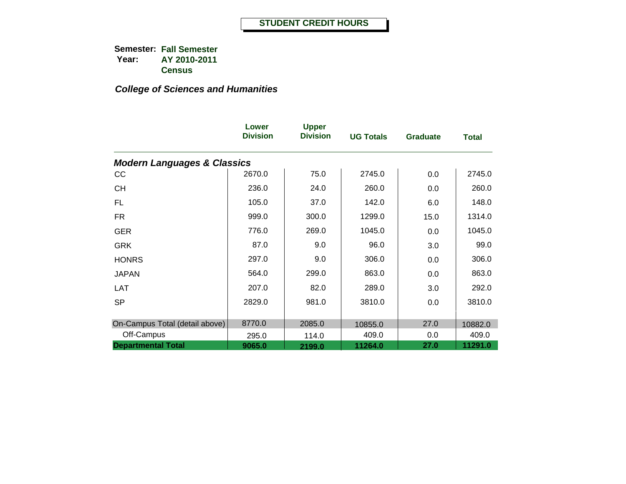|                                        | Lower<br><b>Division</b> | <b>Upper</b><br><b>Division</b> | <b>UG Totals</b> | <b>Graduate</b> | <b>Total</b> |
|----------------------------------------|--------------------------|---------------------------------|------------------|-----------------|--------------|
| <b>Modern Languages &amp; Classics</b> |                          |                                 |                  |                 |              |
| <b>CC</b>                              | 2670.0                   | 75.0                            | 2745.0           | 0.0             | 2745.0       |
| <b>CH</b>                              | 236.0                    | 24.0                            | 260.0            | 0.0             | 260.0        |
| FL.                                    | 105.0                    | 37.0                            | 142.0            | 6.0             | 148.0        |
| <b>FR</b>                              | 999.0                    | 300.0                           | 1299.0           | 15.0            | 1314.0       |
| <b>GER</b>                             | 776.0                    | 269.0                           | 1045.0           | 0.0             | 1045.0       |
| <b>GRK</b>                             | 87.0                     | 9.0                             | 96.0             | 3.0             | 99.0         |
| <b>HONRS</b>                           | 297.0                    | 9.0                             | 306.0            | 0.0             | 306.0        |
| <b>JAPAN</b>                           | 564.0                    | 299.0                           | 863.0            | 0.0             | 863.0        |
| <b>LAT</b>                             | 207.0                    | 82.0                            | 289.0            | 3.0             | 292.0        |
| <b>SP</b>                              | 2829.0                   | 981.0                           | 3810.0           | 0.0             | 3810.0       |
|                                        |                          |                                 |                  |                 |              |
| On-Campus Total (detail above)         | 8770.0                   | 2085.0                          | 10855.0          | 27.0            | 10882.0      |
| Off-Campus                             | 295.0                    | 114.0                           | 409.0            | 0.0             | 409.0        |
| <b>Departmental Total</b>              | 9065.0                   | 2199.0                          | 11264.0          | 27.0            | 11291.0      |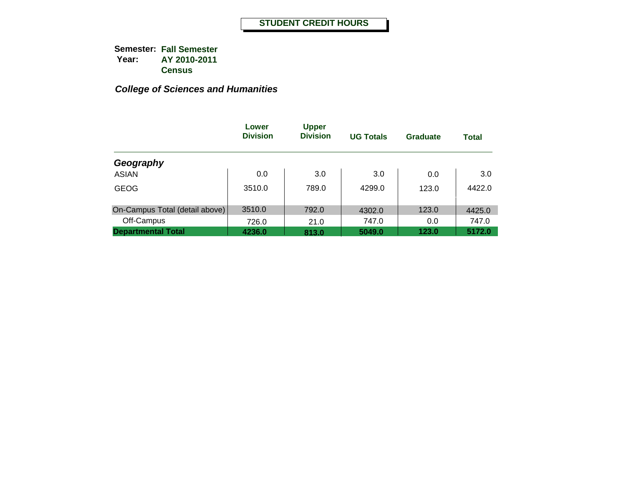|                                | Lower<br><b>Division</b> | <b>Upper</b><br><b>Division</b> | <b>UG Totals</b> | <b>Graduate</b> | <b>Total</b> |
|--------------------------------|--------------------------|---------------------------------|------------------|-----------------|--------------|
| Geography                      |                          |                                 |                  |                 |              |
| <b>ASIAN</b>                   | 0.0                      | 3.0                             | 3.0              | 0.0             | 3.0          |
| <b>GEOG</b>                    | 3510.0                   | 789.0                           | 4299.0           | 123.0           | 4422.0       |
| On-Campus Total (detail above) | 3510.0                   | 792.0                           | 4302.0           | 123.0           | 4425.0       |
| Off-Campus                     | 726.0                    | 21.0                            | 747.0            | 0.0             | 747.0        |
| <b>Departmental Total</b>      | 4236.0                   | 813.0                           | 5049.0           | 123.0           | 5172.0       |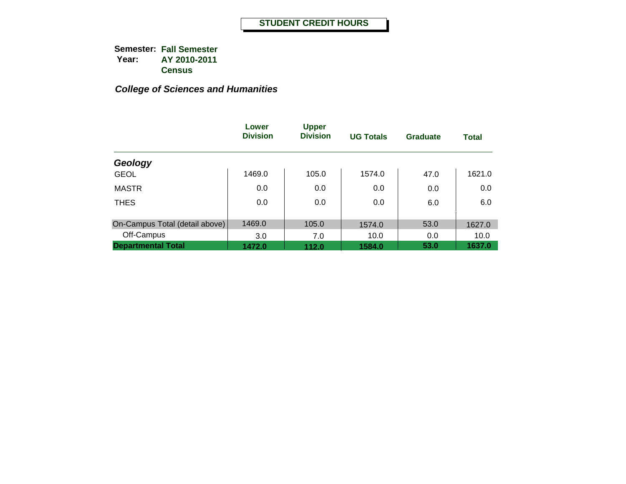|                                | Lower<br><b>Division</b> | <b>Upper</b><br><b>Division</b> | <b>UG Totals</b> | <b>Graduate</b> | <b>Total</b> |
|--------------------------------|--------------------------|---------------------------------|------------------|-----------------|--------------|
| Geology                        |                          |                                 |                  |                 |              |
| <b>GEOL</b>                    | 1469.0                   | 105.0                           | 1574.0           | 47.0            | 1621.0       |
| <b>MASTR</b>                   | 0.0                      | 0.0                             | 0.0              | 0.0             | 0.0          |
| <b>THES</b>                    | 0.0                      | 0.0                             | 0.0              | 6.0             | 6.0          |
| On-Campus Total (detail above) | 1469.0                   | 105.0                           | 1574.0           | 53.0            | 1627.0       |
| Off-Campus                     | 3.0                      | 7.0                             | 10.0             | 0.0             | 10.0         |
| <b>Departmental Total</b>      | 1472.0                   | 112.0                           | 1584.0           | 53.0            | 1637.0       |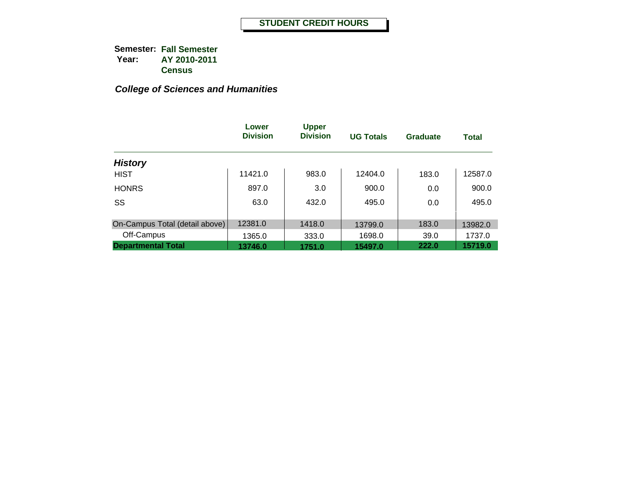|                                | Lower<br><b>Division</b> | <b>Upper</b><br><b>Division</b> | <b>UG Totals</b> | Graduate | <b>Total</b> |
|--------------------------------|--------------------------|---------------------------------|------------------|----------|--------------|
| <b>History</b>                 |                          |                                 |                  |          |              |
| <b>HIST</b>                    | 11421.0                  | 983.0                           | 12404.0          | 183.0    | 12587.0      |
| <b>HONRS</b>                   | 897.0                    | 3.0                             | 900.0            | 0.0      | 900.0        |
| SS                             | 63.0                     | 432.0                           | 495.0            | 0.0      | 495.0        |
| On-Campus Total (detail above) | 12381.0                  | 1418.0                          |                  |          |              |
|                                |                          |                                 | 13799.0          | 183.0    | 13982.0      |
| Off-Campus                     | 1365.0                   | 333.0                           | 1698.0           | 39.0     | 1737.0       |
| <b>Departmental Total</b>      | 13746.0                  | 1751.0                          | 15497.0          | 222.0    | 15719.0      |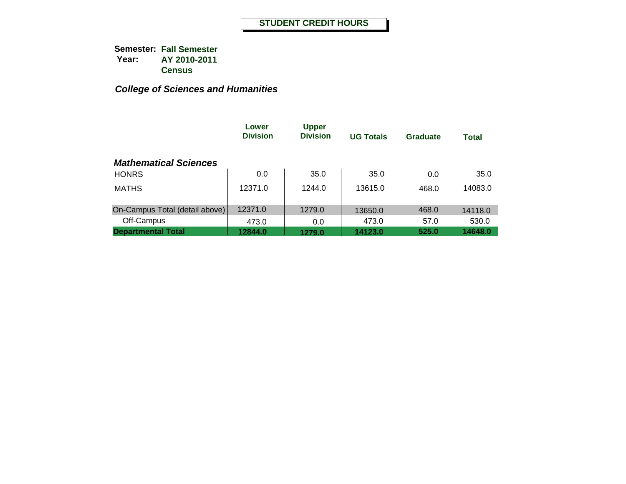|                                | Lower<br><b>Division</b> | <b>Upper</b><br><b>Division</b> | <b>UG Totals</b> | <b>Graduate</b> | <b>Total</b> |
|--------------------------------|--------------------------|---------------------------------|------------------|-----------------|--------------|
| <b>Mathematical Sciences</b>   |                          |                                 |                  |                 |              |
| <b>HONRS</b>                   | 0.0                      | 35.0                            | 35.0             | 0.0             | 35.0         |
| <b>MATHS</b>                   | 12371.0                  | 1244.0                          | 13615.0          | 468.0           | 14083.0      |
| On-Campus Total (detail above) | 12371.0                  | 1279.0                          | 13650.0          | 468.0           | 14118.0      |
| Off-Campus                     | 473.0                    | 0.0                             | 473.0            | 57.0            | 530.0        |
| <b>Departmental Total</b>      | 12844.0                  | 1279.0                          | 14123.0          | 525.0           | 14648.0      |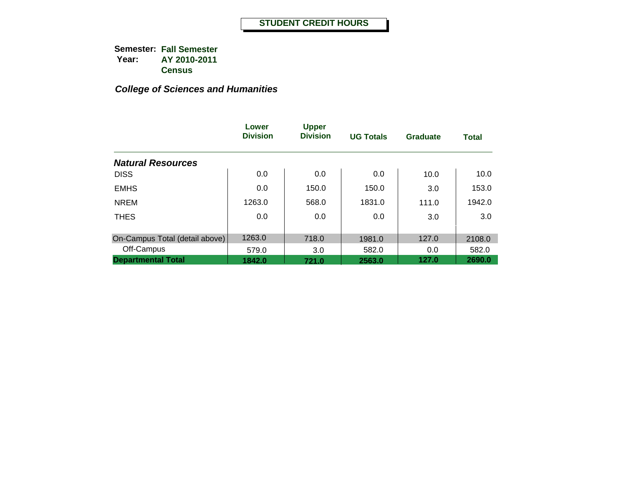|                                | Lower<br><b>Division</b> | <b>Upper</b><br><b>Division</b> | <b>UG Totals</b> | <b>Graduate</b> | <b>Total</b> |
|--------------------------------|--------------------------|---------------------------------|------------------|-----------------|--------------|
| <b>Natural Resources</b>       |                          |                                 |                  |                 |              |
| <b>DISS</b>                    | 0.0                      | 0.0                             | 0.0              | 10.0            | 10.0         |
| <b>EMHS</b>                    | 0.0                      | 150.0                           | 150.0            | 3.0             | 153.0        |
| <b>NREM</b>                    | 1263.0                   | 568.0                           | 1831.0           | 111.0           | 1942.0       |
| <b>THES</b>                    | 0.0                      | 0.0                             | 0.0              | 3.0             | 3.0          |
| On-Campus Total (detail above) | 1263.0                   | 718.0                           | 1981.0           | 127.0           | 2108.0       |
| Off-Campus                     | 579.0                    | 3.0                             | 582.0            | 0.0             | 582.0        |
| <b>Departmental Total</b>      | 1842.0                   | 721.0                           | 2563.0           | 127.0           | 2690.0       |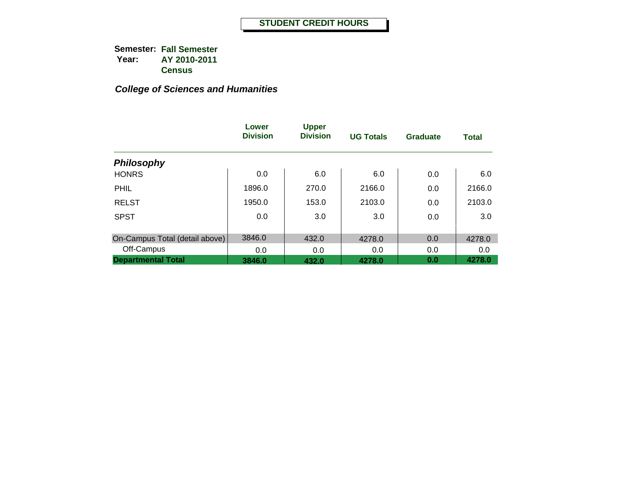|                                | Lower<br><b>Division</b> | <b>Upper</b><br><b>Division</b> | <b>UG Totals</b> | <b>Graduate</b> | <b>Total</b> |
|--------------------------------|--------------------------|---------------------------------|------------------|-----------------|--------------|
| <b>Philosophy</b>              |                          |                                 |                  |                 |              |
| <b>HONRS</b>                   | 0.0                      | 6.0                             | 6.0              | 0.0             | 6.0          |
| PHIL                           | 1896.0                   | 270.0                           | 2166.0           | 0.0             | 2166.0       |
| <b>RELST</b>                   | 1950.0                   | 153.0                           | 2103.0           | 0.0             | 2103.0       |
| <b>SPST</b>                    | 0.0                      | 3.0                             | 3.0              | 0.0             | 3.0          |
| On-Campus Total (detail above) | 3846.0                   | 432.0                           | 4278.0           | 0.0             | 4278.0       |
| Off-Campus                     | 0.0                      | 0.0                             | 0.0              | 0.0             | 0.0          |
| <b>Departmental Total</b>      | 3846.0                   | 432.0                           | 4278.0           | 0.0             | 4278.0       |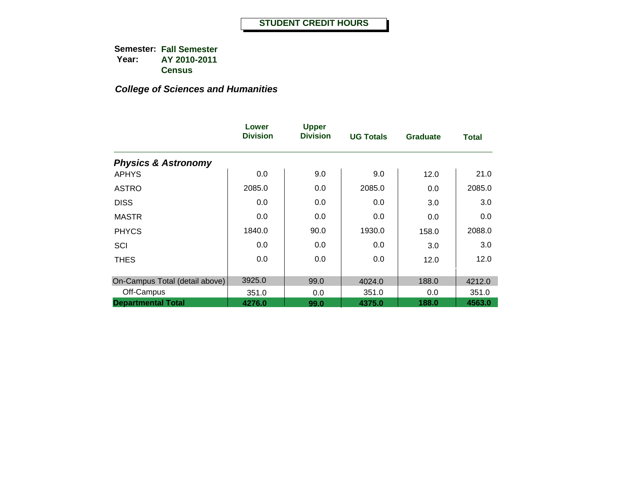|                                | Lower<br><b>Division</b> | <b>Upper</b><br><b>Division</b> | <b>UG Totals</b> | <b>Graduate</b> | <b>Total</b> |
|--------------------------------|--------------------------|---------------------------------|------------------|-----------------|--------------|
| <b>Physics &amp; Astronomy</b> |                          |                                 |                  |                 |              |
| <b>APHYS</b>                   | 0.0                      | 9.0                             | 9.0              | 12.0            | 21.0         |
| <b>ASTRO</b>                   | 2085.0                   | 0.0                             | 2085.0           | 0.0             | 2085.0       |
| <b>DISS</b>                    | 0.0                      | 0.0                             | 0.0              | 3.0             | 3.0          |
| <b>MASTR</b>                   | 0.0                      | 0.0                             | 0.0              | 0.0             | 0.0          |
| <b>PHYCS</b>                   | 1840.0                   | 90.0                            | 1930.0           | 158.0           | 2088.0       |
| SCI                            | 0.0                      | 0.0                             | 0.0              | 3.0             | 3.0          |
| <b>THES</b>                    | 0.0                      | 0.0                             | 0.0              | 12.0            | 12.0         |
| On-Campus Total (detail above) | 3925.0                   | 99.0                            | 4024.0           | 188.0           | 4212.0       |
| Off-Campus                     | 351.0                    | 0.0                             | 351.0            | 0.0             | 351.0        |
| <b>Departmental Total</b>      | 4276.0                   | 99.0                            | 4375.0           | 188.0           | 4563.0       |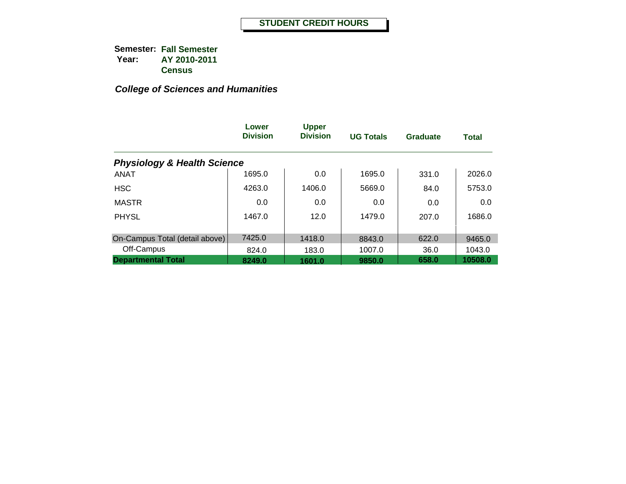|                                        | Lower<br><b>Division</b> | <b>Upper</b><br><b>Division</b> | <b>UG Totals</b> | <b>Graduate</b> | <b>Total</b> |
|----------------------------------------|--------------------------|---------------------------------|------------------|-----------------|--------------|
| <b>Physiology &amp; Health Science</b> |                          |                                 |                  |                 |              |
| <b>ANAT</b>                            | 1695.0                   | 0.0                             | 1695.0           | 331.0           | 2026.0       |
| <b>HSC</b>                             | 4263.0                   | 1406.0                          | 5669.0           | 84.0            | 5753.0       |
| <b>MASTR</b>                           | 0.0                      | 0.0                             | 0.0              | 0.0             | 0.0          |
| <b>PHYSL</b>                           | 1467.0                   | 12.0                            | 1479.0           | 207.0           | 1686.0       |
|                                        |                          |                                 |                  |                 |              |
| On-Campus Total (detail above)         | 7425.0                   | 1418.0                          | 8843.0           | 622.0           | 9465.0       |
| Off-Campus                             | 824.0                    | 183.0                           | 1007.0           | 36.0            | 1043.0       |
| <b>Departmental Total</b>              | 8249.0                   | 1601.0                          | 9850.0           | 658.0           | 10508.0      |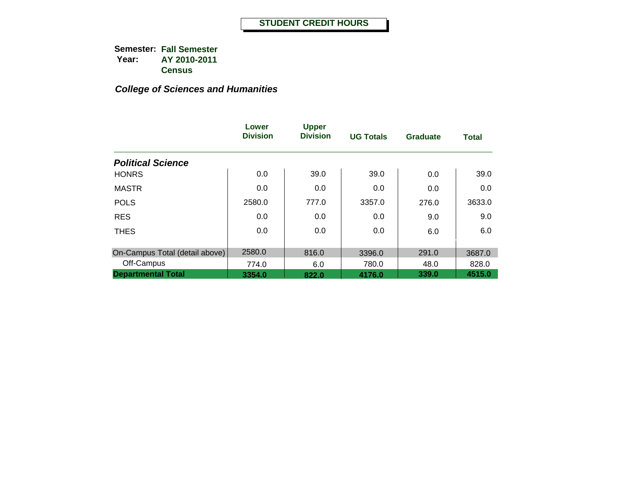|                                | Lower<br><b>Division</b> | <b>Upper</b><br><b>Division</b> | <b>UG Totals</b> | <b>Graduate</b> | <b>Total</b> |
|--------------------------------|--------------------------|---------------------------------|------------------|-----------------|--------------|
| <b>Political Science</b>       |                          |                                 |                  |                 |              |
| <b>HONRS</b>                   | 0.0                      | 39.0                            | 39.0             | 0.0             | 39.0         |
| <b>MASTR</b>                   | 0.0                      | 0.0                             | 0.0              | 0.0             | 0.0          |
| <b>POLS</b>                    | 2580.0                   | 777.0                           | 3357.0           | 276.0           | 3633.0       |
| <b>RES</b>                     | 0.0                      | 0.0                             | $0.0\,$          | 9.0             | 9.0          |
| <b>THES</b>                    | 0.0                      | 0.0                             | 0.0              | 6.0             | 6.0          |
| On-Campus Total (detail above) | 2580.0                   | 816.0                           | 3396.0           | 291.0           | 3687.0       |
| Off-Campus                     | 774.0                    | 6.0                             | 780.0            | 48.0            | 828.0        |
| <b>Departmental Total</b>      | 3354.0                   | 822.0                           | 4176.0           | 339.0           | 4515.0       |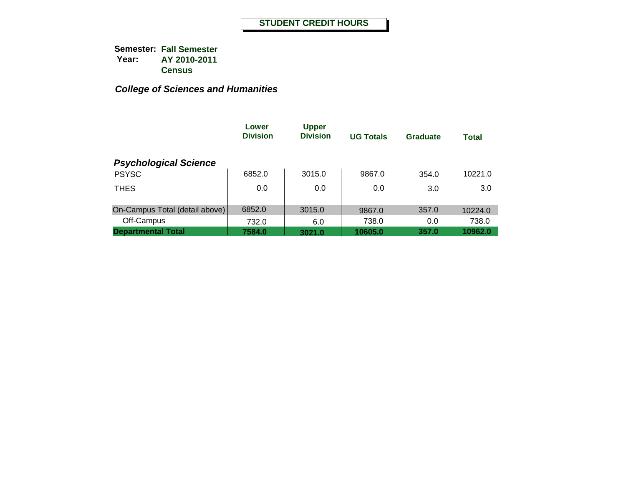|                                | Lower<br><b>Division</b> | <b>Upper</b><br><b>Division</b> | <b>UG Totals</b> | Graduate | <b>Total</b> |
|--------------------------------|--------------------------|---------------------------------|------------------|----------|--------------|
| <b>Psychological Science</b>   |                          |                                 |                  |          |              |
| <b>PSYSC</b>                   | 6852.0                   | 3015.0                          | 9867.0           | 354.0    | 10221.0      |
| <b>THES</b>                    | 0.0                      | 0.0                             | 0.0              | 3.0      | 3.0          |
| On-Campus Total (detail above) | 6852.0                   | 3015.0                          | 9867.0           | 357.0    | 10224.0      |
| Off-Campus                     | 732.0                    | 6.0                             | 738.0            | 0.0      | 738.0        |
| <b>Departmental Total</b>      | 7584.0                   | 3021.0                          | 10605.0          | 357.0    | 10962.0      |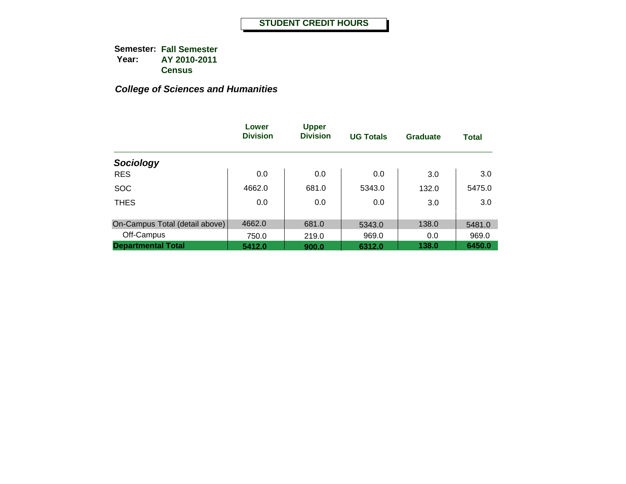|                                | Lower<br><b>Division</b> | <b>Upper</b><br><b>Division</b> | <b>UG Totals</b> | <b>Graduate</b> | <b>Total</b> |
|--------------------------------|--------------------------|---------------------------------|------------------|-----------------|--------------|
| Sociology                      |                          |                                 |                  |                 |              |
| <b>RES</b>                     | 0.0                      | 0.0                             | 0.0              | 3.0             | 3.0          |
| <b>SOC</b>                     | 4662.0                   | 681.0                           | 5343.0           | 132.0           | 5475.0       |
| <b>THES</b>                    | 0.0                      | 0.0                             | 0.0              | 3.0             | 3.0          |
| On-Campus Total (detail above) | 4662.0                   | 681.0                           | 5343.0           | 138.0           | 5481.0       |
| Off-Campus                     | 750.0                    | 219.0                           | 969.0            | 0.0             | 969.0        |
| <b>Departmental Total</b>      | 5412.0                   | 900.0                           | 6312.0           | 138.0           | 6450.0       |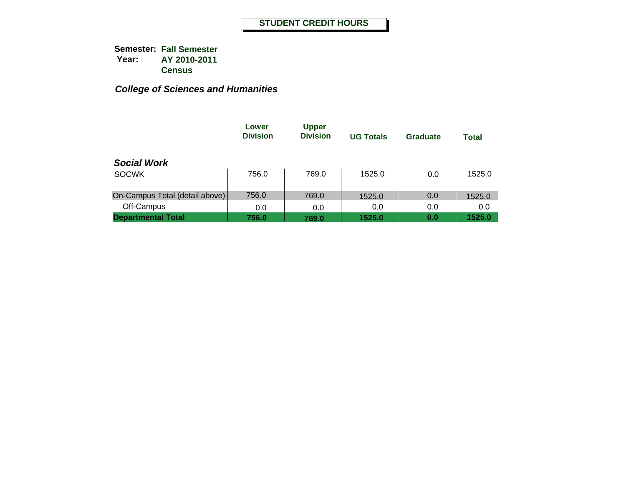|                                | Lower<br><b>Division</b> | <b>Upper</b><br><b>Division</b> | <b>UG Totals</b> | Graduate | <b>Total</b> |
|--------------------------------|--------------------------|---------------------------------|------------------|----------|--------------|
| <b>Social Work</b>             |                          |                                 |                  |          |              |
| <b>SOCWK</b>                   | 756.0                    | 769.0                           | 1525.0           | 0.0      | 1525.0       |
| On-Campus Total (detail above) | 756.0                    | 769.0                           | 1525.0           | 0.0      | 1525.0       |
| Off-Campus                     | 0.0                      | 0.0                             | 0.0              | 0.0      | 0.0          |
| <b>Departmental Total</b>      | 756.0                    | 769.0                           | 1525.0           | 0.0      | 1525.0       |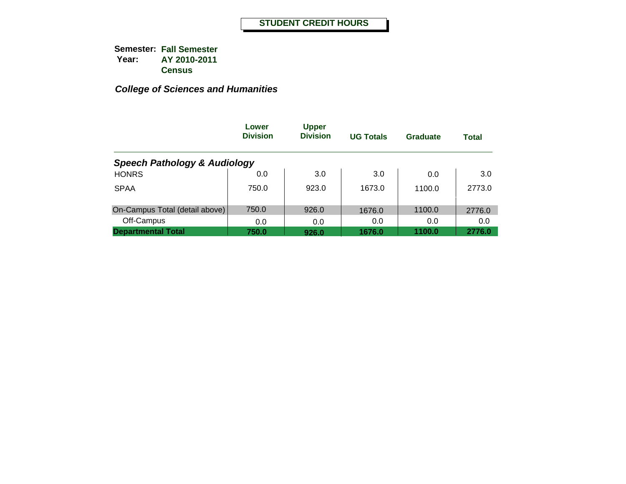|                                         | Lower<br><b>Division</b> | <b>Upper</b><br><b>Division</b> | <b>UG Totals</b> | <b>Graduate</b> | <b>Total</b> |
|-----------------------------------------|--------------------------|---------------------------------|------------------|-----------------|--------------|
| <b>Speech Pathology &amp; Audiology</b> |                          |                                 |                  |                 |              |
| <b>HONRS</b>                            | 0.0                      | 3.0                             | 3.0              | 0.0             | 3.0          |
| <b>SPAA</b>                             | 750.0                    | 923.0                           | 1673.0           | 1100.0          | 2773.0       |
| On-Campus Total (detail above)          | 750.0                    | 926.0                           | 1676.0           | 1100.0          | 2776.0       |
| Off-Campus                              | 0.0                      | 0.0                             | 0.0              | 0.0             | 0.0          |
| <b>Departmental Total</b>               | 750.0                    | 926.0                           | 1676.0           | 1100.0          | 2776.0       |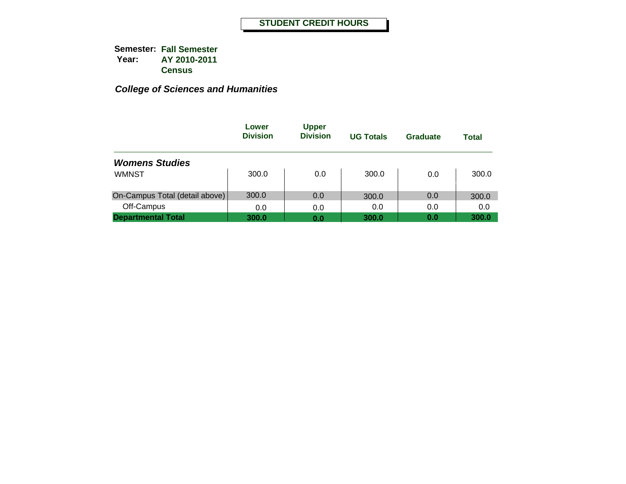|                                | Lower<br><b>Division</b> | <b>Upper</b><br><b>Division</b> | <b>UG Totals</b> | Graduate | <b>Total</b> |
|--------------------------------|--------------------------|---------------------------------|------------------|----------|--------------|
| <b>Womens Studies</b>          |                          |                                 |                  |          |              |
| <b>WMNST</b>                   | 300.0                    | 0.0                             | 300.0            | 0.0      | 300.0        |
| On-Campus Total (detail above) | 300.0                    | 0.0                             | 300.0            | 0.0      | 300.0        |
| Off-Campus                     | 0.0                      | 0.0                             | 0.0              | 0.0      | 0.0          |
| <b>Departmental Total</b>      | 300.0                    | 0.0                             | 300.0            | 0.0      | 300.0        |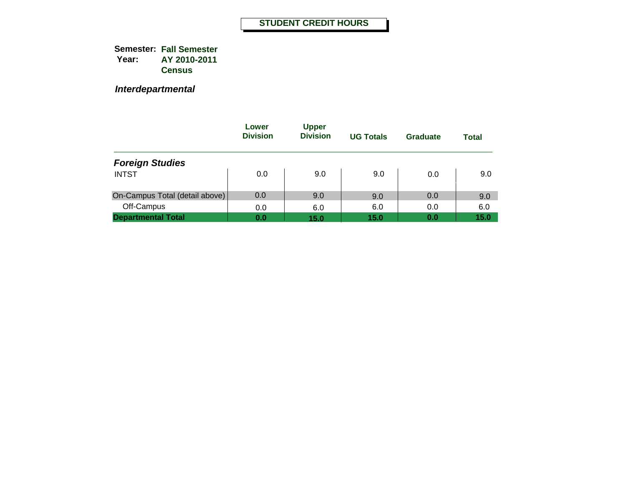*Interdepartmental*

|                                | Lower<br><b>Division</b> | <b>Upper</b><br><b>Division</b> | <b>UG Totals</b> | Graduate | <b>Total</b> |
|--------------------------------|--------------------------|---------------------------------|------------------|----------|--------------|
| <b>Foreign Studies</b>         |                          |                                 |                  |          |              |
| <b>INTST</b>                   | 0.0                      | 9.0                             | 9.0              | 0.0      | 9.0          |
| On-Campus Total (detail above) | 0.0                      | 9.0                             | 9.0              | 0.0      | 9.0          |
| Off-Campus                     | 0.0                      | 6.0                             | 6.0              | 0.0      | 6.0          |
| <b>Departmental Total</b>      | 0.0                      | 15.0                            | 15.0             | 0.0      | 15.0         |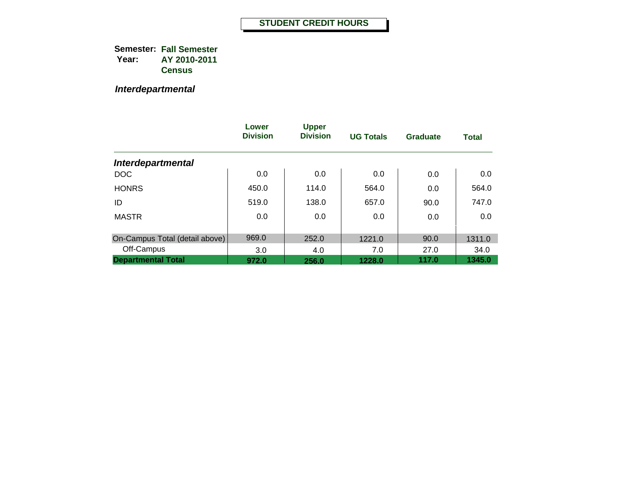*Interdepartmental*

|                                | Lower<br><b>Division</b> | <b>Upper</b><br><b>Division</b> | <b>UG Totals</b> | <b>Graduate</b> | <b>Total</b> |
|--------------------------------|--------------------------|---------------------------------|------------------|-----------------|--------------|
| <b>Interdepartmental</b>       |                          |                                 |                  |                 |              |
| <b>DOC</b>                     | 0.0                      | 0.0                             | 0.0              | 0.0             | 0.0          |
| <b>HONRS</b>                   | 450.0                    | 114.0                           | 564.0            | 0.0             | 564.0        |
| ID                             | 519.0                    | 138.0                           | 657.0            | 90.0            | 747.0        |
| <b>MASTR</b>                   | 0.0                      | 0.0                             | 0.0              | 0.0             | 0.0          |
|                                |                          |                                 |                  |                 |              |
| On-Campus Total (detail above) | 969.0                    | 252.0                           | 1221.0           | 90.0            | 1311.0       |
| Off-Campus                     | 3.0                      | 4.0                             | 7.0              | 27.0            | 34.0         |
| <b>Departmental Total</b>      | 972.0                    | 256.0                           | 1228.0           | 117.0           | 1345.0       |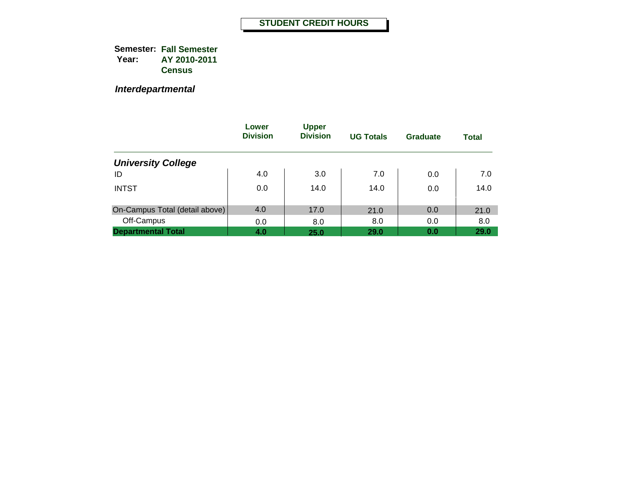*Interdepartmental*

|                                | Lower<br><b>Division</b> | <b>Upper</b><br><b>Division</b> | <b>UG Totals</b> | Graduate | <b>Total</b> |
|--------------------------------|--------------------------|---------------------------------|------------------|----------|--------------|
| <b>University College</b>      |                          |                                 |                  |          |              |
| ID                             | 4.0                      | 3.0                             | 7.0              | 0.0      | 7.0          |
| <b>INTST</b>                   | 0.0                      | 14.0                            | 14.0             | 0.0      | 14.0         |
| On-Campus Total (detail above) | 4.0                      | 17.0                            | 21.0             | 0.0      | 21.0         |
| Off-Campus                     | 0.0                      | 8.0                             | 8.0              | 0.0      | 8.0          |
| <b>Departmental Total</b>      | 4.0                      | 25.0                            | 29.0             | 0.0      | 29.0         |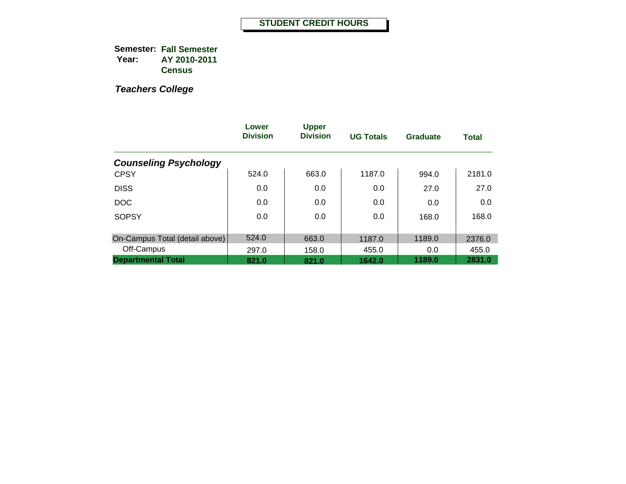|                                | Lower<br><b>Division</b> | <b>Upper</b><br><b>Division</b> | <b>UG Totals</b> | Graduate | <b>Total</b> |
|--------------------------------|--------------------------|---------------------------------|------------------|----------|--------------|
| <b>Counseling Psychology</b>   |                          |                                 |                  |          |              |
| <b>CPSY</b>                    | 524.0                    | 663.0                           | 1187.0           | 994.0    | 2181.0       |
| <b>DISS</b>                    | 0.0                      | 0.0                             | 0.0              | 27.0     | 27.0         |
| <b>DOC</b>                     | 0.0                      | 0.0                             | 0.0              | 0.0      | 0.0          |
| <b>SOPSY</b>                   | 0.0                      | 0.0                             | 0.0              | 168.0    | 168.0        |
|                                |                          |                                 |                  |          |              |
| On-Campus Total (detail above) | 524.0                    | 663.0                           | 1187.0           | 1189.0   | 2376.0       |
| Off-Campus                     | 297.0                    | 158.0                           | 455.0            | 0.0      | 455.0        |
| <b>Departmental Total</b>      | 821.0                    | 821.0                           | 1642.0           | 1189.0   | 2831.0       |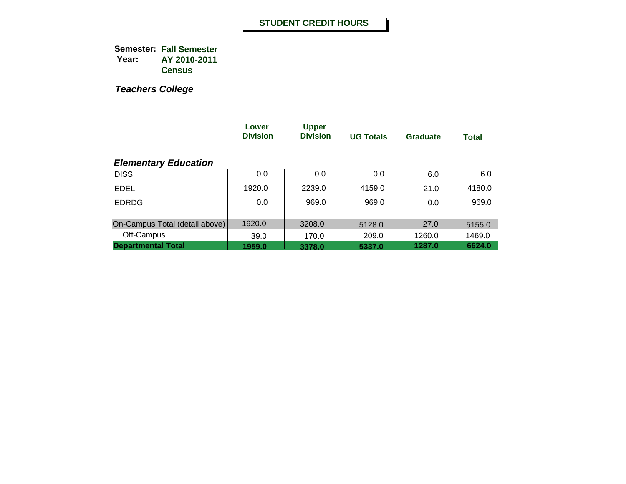|                                | Lower<br><b>Division</b> | <b>Upper</b><br><b>Division</b> | <b>UG Totals</b> | <b>Graduate</b> | <b>Total</b> |
|--------------------------------|--------------------------|---------------------------------|------------------|-----------------|--------------|
| <b>Elementary Education</b>    |                          |                                 |                  |                 |              |
| <b>DISS</b>                    | 0.0                      | 0.0                             | 0.0              | 6.0             | 6.0          |
| EDEL                           | 1920.0                   | 2239.0                          | 4159.0           | 21.0            | 4180.0       |
| <b>EDRDG</b>                   | 0.0                      | 969.0                           | 969.0            | 0.0             | 969.0        |
|                                |                          |                                 |                  |                 |              |
| On-Campus Total (detail above) | 1920.0                   | 3208.0                          | 5128.0           | 27.0            | 5155.0       |
| Off-Campus                     | 39.0                     | 170.0                           | 209.0            | 1260.0          | 1469.0       |
| <b>Departmental Total</b>      | 1959.0                   | 3378.0                          | 5337.0           | 1287.0          | 6624.0       |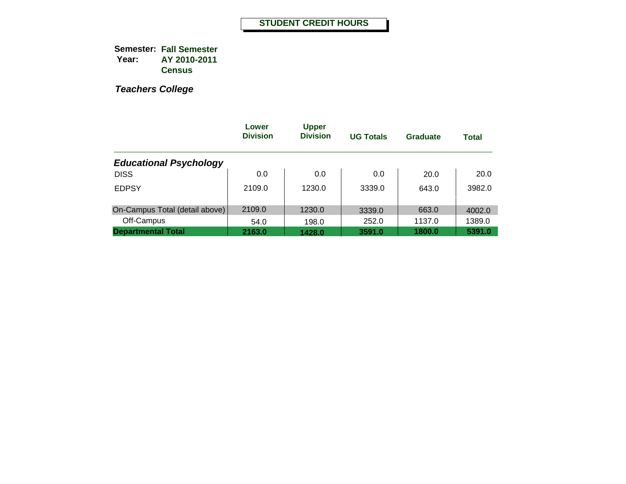|                                | Lower<br><b>Division</b> | <b>Upper</b><br><b>Division</b> | <b>UG Totals</b> | Graduate | <b>Total</b> |
|--------------------------------|--------------------------|---------------------------------|------------------|----------|--------------|
| <b>Educational Psychology</b>  |                          |                                 |                  |          |              |
| <b>DISS</b>                    | 0.0                      | 0.0                             | 0.0              | 20.0     | 20.0         |
| <b>EDPSY</b>                   | 2109.0                   | 1230.0                          | 3339.0           | 643.0    | 3982.0       |
| On-Campus Total (detail above) | 2109.0                   | 1230.0                          | 3339.0           | 663.0    | 4002.0       |
| Off-Campus                     | 54.0                     | 198.0                           | 252.0            | 1137.0   | 1389.0       |
| <b>Departmental Total</b>      | 2163.0                   | 1428.0                          | 3591.0           | 1800.0   | 5391.0       |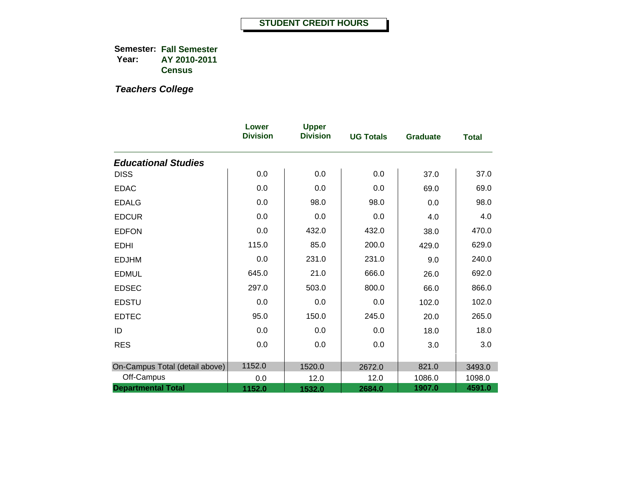|                                | Lower<br><b>Division</b> | <b>Upper</b><br><b>Division</b> | <b>UG Totals</b> | <b>Graduate</b> | <b>Total</b> |
|--------------------------------|--------------------------|---------------------------------|------------------|-----------------|--------------|
| <b>Educational Studies</b>     |                          |                                 |                  |                 |              |
| <b>DISS</b>                    | 0.0                      | 0.0                             | 0.0              | 37.0            | 37.0         |
| <b>EDAC</b>                    | 0.0                      | 0.0                             | 0.0              | 69.0            | 69.0         |
| <b>EDALG</b>                   | 0.0                      | 98.0                            | 98.0             | 0.0             | 98.0         |
| <b>EDCUR</b>                   | 0.0                      | 0.0                             | 0.0              | 4.0             | 4.0          |
| <b>EDFON</b>                   | 0.0                      | 432.0                           | 432.0            | 38.0            | 470.0        |
| <b>EDHI</b>                    | 115.0                    | 85.0                            | 200.0            | 429.0           | 629.0        |
| <b>EDJHM</b>                   | 0.0                      | 231.0                           | 231.0            | 9.0             | 240.0        |
| <b>EDMUL</b>                   | 645.0                    | 21.0                            | 666.0            | 26.0            | 692.0        |
| <b>EDSEC</b>                   | 297.0                    | 503.0                           | 800.0            | 66.0            | 866.0        |
| <b>EDSTU</b>                   | 0.0                      | 0.0                             | 0.0              | 102.0           | 102.0        |
| <b>EDTEC</b>                   | 95.0                     | 150.0                           | 245.0            | 20.0            | 265.0        |
| ID                             | 0.0                      | 0.0                             | 0.0              | 18.0            | 18.0         |
| <b>RES</b>                     | 0.0                      | 0.0                             | 0.0              | 3.0             | 3.0          |
| On-Campus Total (detail above) | 1152.0                   | 1520.0                          | 2672.0           | 821.0           | 3493.0       |
| Off-Campus                     | 0.0                      | 12.0                            | 12.0             | 1086.0          | 1098.0       |
| <b>Departmental Total</b>      | 1152.0                   | 1532.0                          | 2684.0           | 1907.0          | 4591.0       |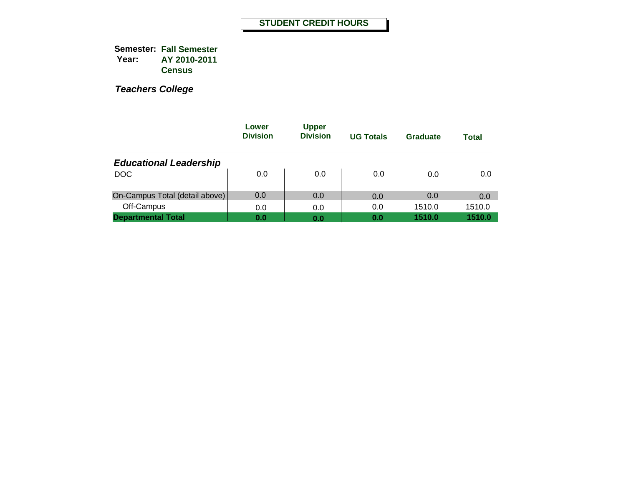|                                | Lower<br><b>Division</b> | <b>Upper</b><br><b>Division</b> | <b>UG Totals</b> | Graduate | <b>Total</b> |
|--------------------------------|--------------------------|---------------------------------|------------------|----------|--------------|
| <b>Educational Leadership</b>  |                          |                                 |                  |          |              |
| <b>DOC</b>                     | 0.0                      | 0.0                             | 0.0              | 0.0      | 0.0          |
| On-Campus Total (detail above) | 0.0                      | 0.0                             | 0.0              | 0.0      | 0.0          |
| Off-Campus                     | 0.0                      | 0.0                             | 0.0              | 1510.0   | 1510.0       |
| <b>Departmental Total</b>      | 0.0                      | 0.0                             | 0.0              | 1510.0   | 1510.0       |